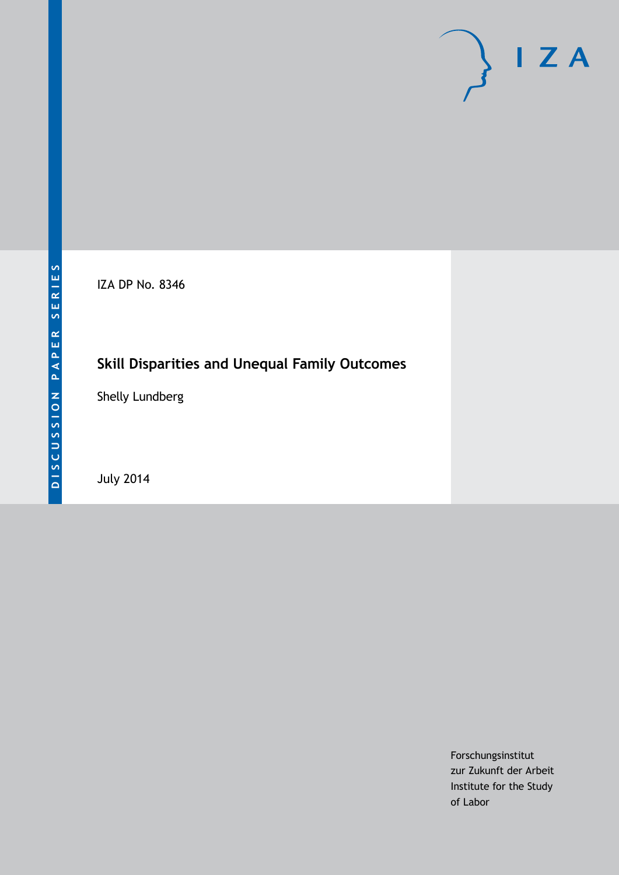

IZA DP No. 8346

# **Skill Disparities and Unequal Family Outcomes**

Shelly Lundberg

July 2014

Forschungsinstitut zur Zukunft der Arbeit Institute for the Study of Labor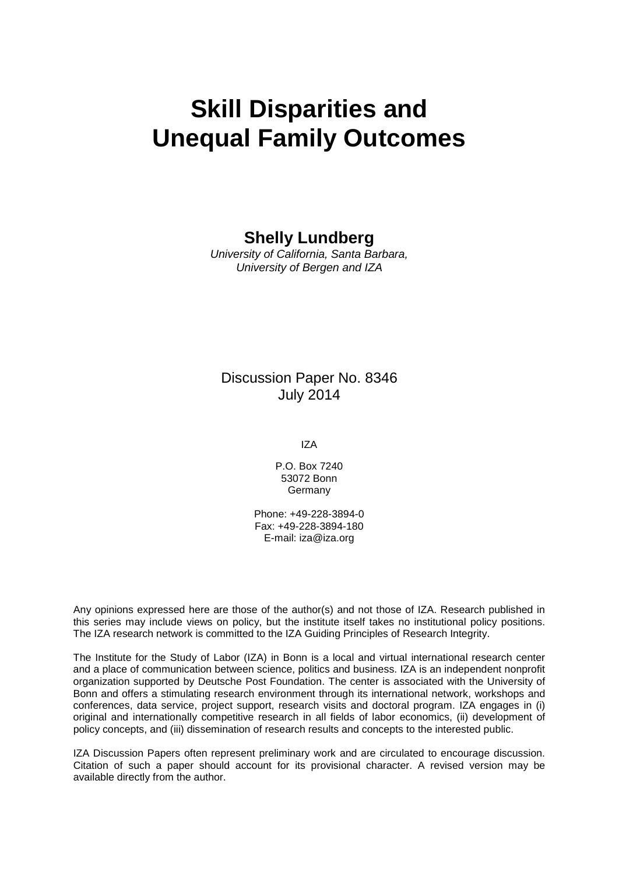# **Skill Disparities and Unequal Family Outcomes**

### **Shelly Lundberg**

*University of California, Santa Barbara, University of Bergen and IZA*

### Discussion Paper No. 8346 July 2014

IZA

P.O. Box 7240 53072 Bonn Germany

Phone: +49-228-3894-0 Fax: +49-228-3894-180 E-mail: [iza@iza.org](mailto:iza@iza.org)

Any opinions expressed here are those of the author(s) and not those of IZA. Research published in this series may include views on policy, but the institute itself takes no institutional policy positions. The IZA research network is committed to the IZA Guiding Principles of Research Integrity.

The Institute for the Study of Labor (IZA) in Bonn is a local and virtual international research center and a place of communication between science, politics and business. IZA is an independent nonprofit organization supported by Deutsche Post Foundation. The center is associated with the University of Bonn and offers a stimulating research environment through its international network, workshops and conferences, data service, project support, research visits and doctoral program. IZA engages in (i) original and internationally competitive research in all fields of labor economics, (ii) development of policy concepts, and (iii) dissemination of research results and concepts to the interested public.

<span id="page-1-0"></span>IZA Discussion Papers often represent preliminary work and are circulated to encourage discussion. Citation of such a paper should account for its provisional character. A revised version may be available directly from the author.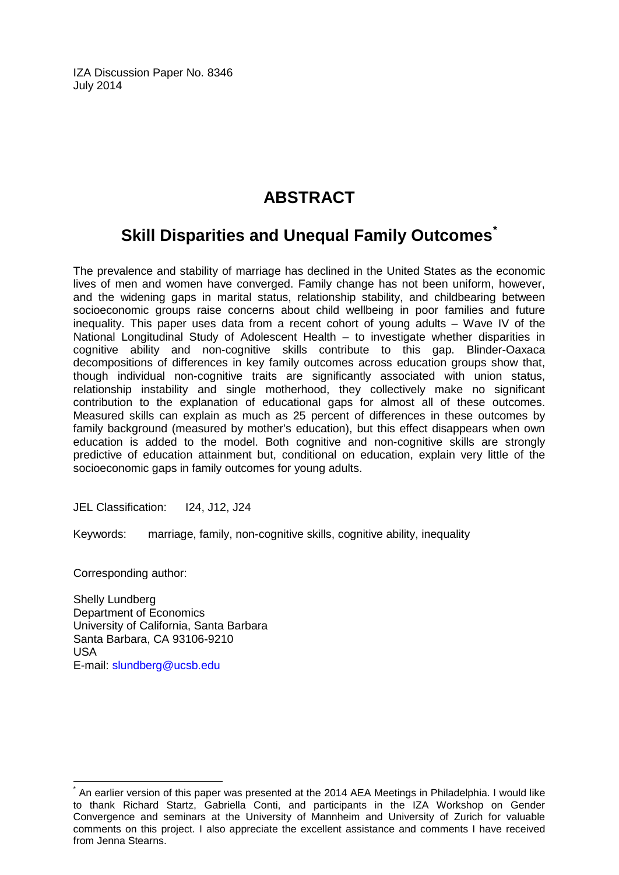IZA Discussion Paper No. 8346 July 2014

## **ABSTRACT**

# **Skill Disparities and Unequal Family Outcomes[\\*](#page-1-0)**

The prevalence and stability of marriage has declined in the United States as the economic lives of men and women have converged. Family change has not been uniform, however, and the widening gaps in marital status, relationship stability, and childbearing between socioeconomic groups raise concerns about child wellbeing in poor families and future inequality. This paper uses data from a recent cohort of young adults – Wave IV of the National Longitudinal Study of Adolescent Health – to investigate whether disparities in cognitive ability and non-cognitive skills contribute to this gap. Blinder-Oaxaca decompositions of differences in key family outcomes across education groups show that, though individual non-cognitive traits are significantly associated with union status, relationship instability and single motherhood, they collectively make no significant contribution to the explanation of educational gaps for almost all of these outcomes. Measured skills can explain as much as 25 percent of differences in these outcomes by family background (measured by mother's education), but this effect disappears when own education is added to the model. Both cognitive and non-cognitive skills are strongly predictive of education attainment but, conditional on education, explain very little of the socioeconomic gaps in family outcomes for young adults.

JEL Classification: I24, J12, J24

Keywords: marriage, family, non-cognitive skills, cognitive ability, inequality

Corresponding author:

Shelly Lundberg Department of Economics University of California, Santa Barbara Santa Barbara, CA 93106-9210 USA E-mail: [slundberg@ucsb.edu](mailto:slundberg@ucsb.edu)

An earlier version of this paper was presented at the 2014 AEA Meetings in Philadelphia. I would like to thank Richard Startz, Gabriella Conti, and participants in the IZA Workshop on Gender Convergence and seminars at the University of Mannheim and University of Zurich for valuable comments on this project. I also appreciate the excellent assistance and comments I have received from Jenna Stearns.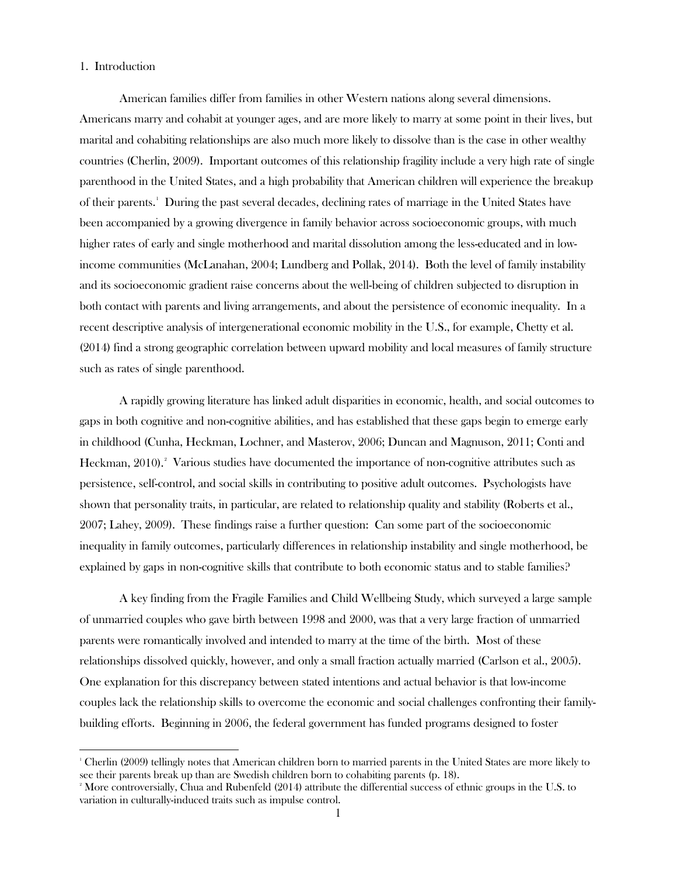#### 1. Introduction

<span id="page-3-1"></span> $\overline{\phantom{a}}$ 

American families differ from families in other Western nations along several dimensions. Americans marry and cohabit at younger ages, and are more likely to marry at some point in their lives, but marital and cohabiting relationships are also much more likely to dissolve than is the case in other wealthy countries (Cherlin, 2009). Important outcomes of this relationship fragility include a very high rate of single parenthood in the United States, and a high probability that American children will experience the breakup of their parents.<sup>1</sup> During the past several decades, declining rates of marriage in the United States have been accompanied by a growing divergence in family behavior across socioeconomic groups, with much higher rates of early and single motherhood and marital dissolution among the less-educated and in lowincome communities (McLanahan, 2004; Lundberg and Pollak, 2014). Both the level of family instability and its socioeconomic gradient raise concerns about the well-being of children subjected to disruption in both contact with parents and living arrangements, and about the persistence of economic inequality. In a recent descriptive analysis of intergenerational economic mobility in the U.S., for example, Chetty et al. (2014) find a strong geographic correlation between upward mobility and local measures of family structure such as rates of single parenthood.

A rapidly growing literature has linked adult disparities in economic, health, and social outcomes to gaps in both cognitive and non-cognitive abilities, and has established that these gaps begin to emerge early in childhood (Cunha, Heckman, Lochner, and Masterov, 2006; Duncan and Magnuson, 2011; Conti and Heckman, [2](#page-3-0)010).<sup>2</sup> Various studies have documented the importance of non-cognitive attributes such as persistence, self-control, and social skills in contributing to positive adult outcomes. Psychologists have shown that personality traits, in particular, are related to relationship quality and stability (Roberts et al., 2007; Lahey, 2009). These findings raise a further question: Can some part of the socioeconomic inequality in family outcomes, particularly differences in relationship instability and single motherhood, be explained by gaps in non-cognitive skills that contribute to both economic status and to stable families?

A key finding from the Fragile Families and Child Wellbeing Study, which surveyed a large sample of unmarried couples who gave birth between 1998 and 2000, was that a very large fraction of unmarried parents were romantically involved and intended to marry at the time of the birth. Most of these relationships dissolved quickly, however, and only a small fraction actually married (Carlson et al., 2005). One explanation for this discrepancy between stated intentions and actual behavior is that low-income couples lack the relationship skills to overcome the economic and social challenges confronting their familybuilding efforts. Beginning in 2006, the federal government has funded programs designed to foster

<sup>1</sup> Cherlin (2009) tellingly notes that American children born to married parents in the United States are more likely to see their parents break up than are Swedish children born to cohabiting parents (p. 18).

<span id="page-3-0"></span> $^{\circ}$  More controversially, Chua and Rubenfeld (2014) attribute the differential success of ethnic groups in the U.S. to variation in culturally-induced traits such as impulse control.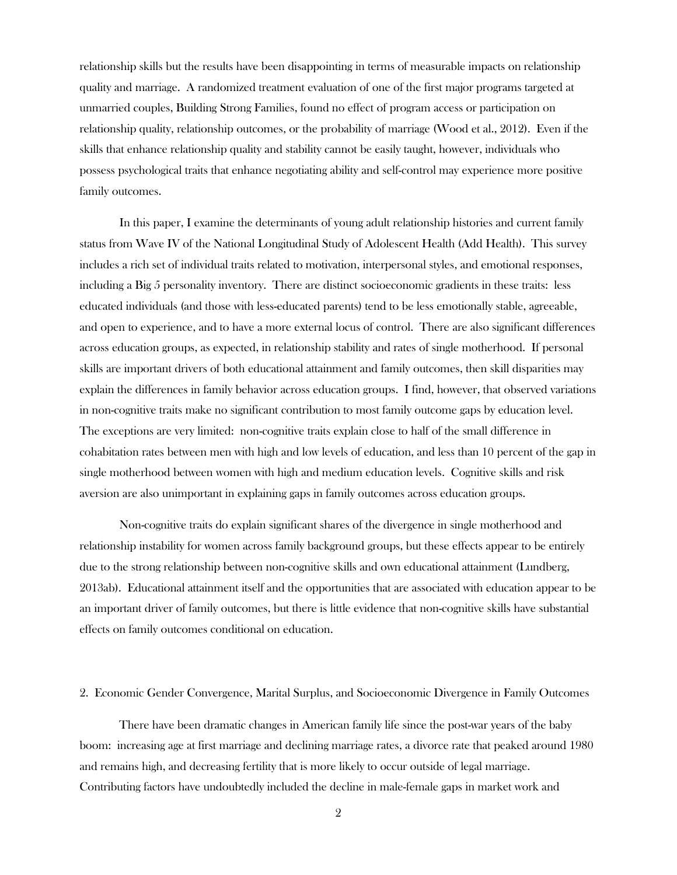relationship skills but the results have been disappointing in terms of measurable impacts on relationship quality and marriage. A randomized treatment evaluation of one of the first major programs targeted at unmarried couples, Building Strong Families, found no effect of program access or participation on relationship quality, relationship outcomes, or the probability of marriage (Wood et al., 2012). Even if the skills that enhance relationship quality and stability cannot be easily taught, however, individuals who possess psychological traits that enhance negotiating ability and self-control may experience more positive family outcomes.

In this paper, I examine the determinants of young adult relationship histories and current family status from Wave IV of the National Longitudinal Study of Adolescent Health (Add Health). This survey includes a rich set of individual traits related to motivation, interpersonal styles, and emotional responses, including a Big 5 personality inventory. There are distinct socioeconomic gradients in these traits: less educated individuals (and those with less-educated parents) tend to be less emotionally stable, agreeable, and open to experience, and to have a more external locus of control. There are also significant differences across education groups, as expected, in relationship stability and rates of single motherhood. If personal skills are important drivers of both educational attainment and family outcomes, then skill disparities may explain the differences in family behavior across education groups. I find, however, that observed variations in non-cognitive traits make no significant contribution to most family outcome gaps by education level. The exceptions are very limited: non-cognitive traits explain close to half of the small difference in cohabitation rates between men with high and low levels of education, and less than 10 percent of the gap in single motherhood between women with high and medium education levels. Cognitive skills and risk aversion are also unimportant in explaining gaps in family outcomes across education groups.

Non-cognitive traits do explain significant shares of the divergence in single motherhood and relationship instability for women across family background groups, but these effects appear to be entirely due to the strong relationship between non-cognitive skills and own educational attainment (Lundberg, 2013ab). Educational attainment itself and the opportunities that are associated with education appear to be an important driver of family outcomes, but there is little evidence that non-cognitive skills have substantial effects on family outcomes conditional on education.

#### 2. Economic Gender Convergence, Marital Surplus, and Socioeconomic Divergence in Family Outcomes

There have been dramatic changes in American family life since the post-war years of the baby boom: increasing age at first marriage and declining marriage rates, a divorce rate that peaked around 1980 and remains high, and decreasing fertility that is more likely to occur outside of legal marriage. Contributing factors have undoubtedly included the decline in male-female gaps in market work and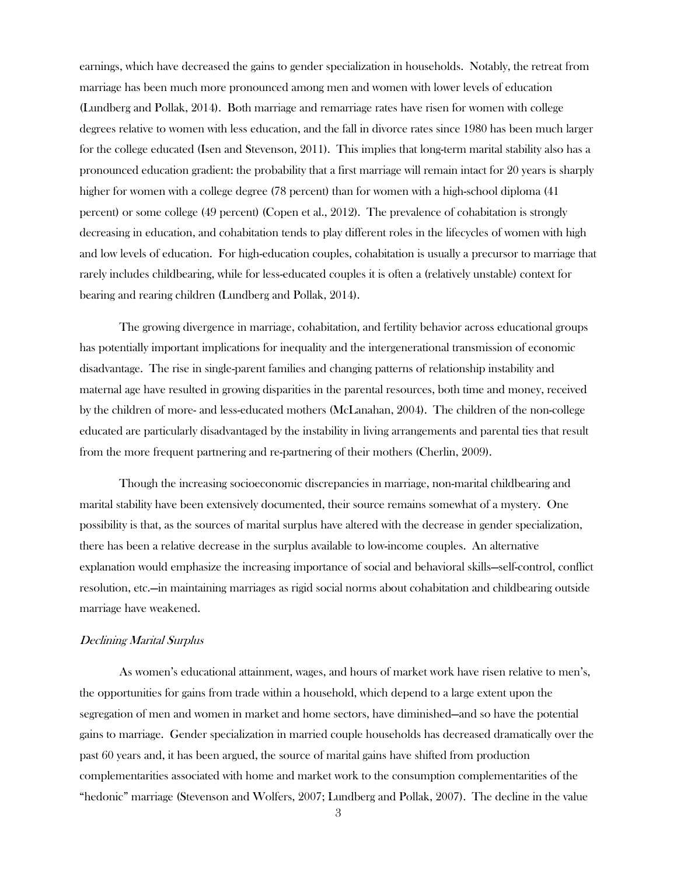earnings, which have decreased the gains to gender specialization in households. Notably, the retreat from marriage has been much more pronounced among men and women with lower levels of education (Lundberg and Pollak, 2014). Both marriage and remarriage rates have risen for women with college degrees relative to women with less education, and the fall in divorce rates since 1980 has been much larger for the college educated (Isen and Stevenson, 2011). This implies that long-term marital stability also has a pronounced education gradient: the probability that a first marriage will remain intact for 20 years is sharply higher for women with a college degree (78 percent) than for women with a high-school diploma (41 percent) or some college (49 percent) (Copen et al., 2012). The prevalence of cohabitation is strongly decreasing in education, and cohabitation tends to play different roles in the lifecycles of women with high and low levels of education. For high-education couples, cohabitation is usually a precursor to marriage that rarely includes childbearing, while for less-educated couples it is often a (relatively unstable) context for bearing and rearing children (Lundberg and Pollak, 2014).

The growing divergence in marriage, cohabitation, and fertility behavior across educational groups has potentially important implications for inequality and the intergenerational transmission of economic disadvantage. The rise in single-parent families and changing patterns of relationship instability and maternal age have resulted in growing disparities in the parental resources, both time and money, received by the children of more- and less-educated mothers (McLanahan, 2004). The children of the non-college educated are particularly disadvantaged by the instability in living arrangements and parental ties that result from the more frequent partnering and re-partnering of their mothers (Cherlin, 2009).

Though the increasing socioeconomic discrepancies in marriage, non-marital childbearing and marital stability have been extensively documented, their source remains somewhat of a mystery. One possibility is that, as the sources of marital surplus have altered with the decrease in gender specialization, there has been a relative decrease in the surplus available to low-income couples. An alternative explanation would emphasize the increasing importance of social and behavioral skills—self-control, conflict resolution, etc.—in maintaining marriages as rigid social norms about cohabitation and childbearing outside marriage have weakened.

#### Declining Marital Surplus

As women's educational attainment, wages, and hours of market work have risen relative to men's, the opportunities for gains from trade within a household, which depend to a large extent upon the segregation of men and women in market and home sectors, have diminished—and so have the potential gains to marriage. Gender specialization in married couple households has decreased dramatically over the past 60 years and, it has been argued, the source of marital gains have shifted from production complementarities associated with home and market work to the consumption complementarities of the "hedonic" marriage (Stevenson and Wolfers, 2007; Lundberg and Pollak, 2007). The decline in the value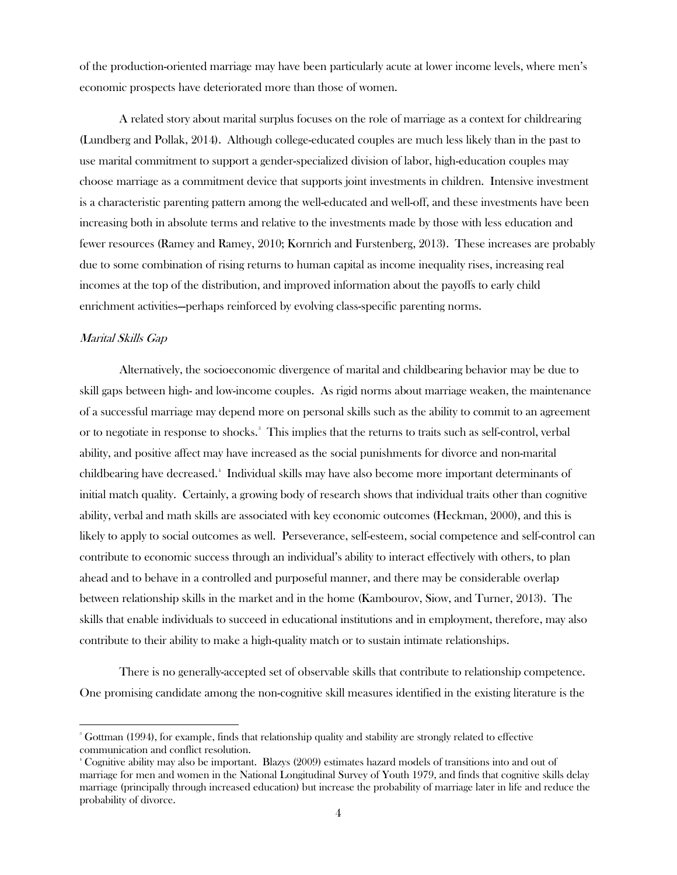of the production-oriented marriage may have been particularly acute at lower income levels, where men's economic prospects have deteriorated more than those of women.

A related story about marital surplus focuses on the role of marriage as a context for childrearing (Lundberg and Pollak, 2014). Although college-educated couples are much less likely than in the past to use marital commitment to support a gender-specialized division of labor, high-education couples may choose marriage as a commitment device that supports joint investments in children. Intensive investment is a characteristic parenting pattern among the well-educated and well-off, and these investments have been increasing both in absolute terms and relative to the investments made by those with less education and fewer resources (Ramey and Ramey, 2010; Kornrich and Furstenberg, 2013). These increases are probably due to some combination of rising returns to human capital as income inequality rises, increasing real incomes at the top of the distribution, and improved information about the payoffs to early child enrichment activities—perhaps reinforced by evolving class-specific parenting norms.

#### Marital Skills Gap

<span id="page-6-1"></span> $\overline{\phantom{a}}$ 

Alternatively, the socioeconomic divergence of marital and childbearing behavior may be due to skill gaps between high- and low-income couples. As rigid norms about marriage weaken, the maintenance of a successful marriage may depend more on personal skills such as the ability to commit to an agreement or to negotiate in response to shocks. [3](#page-3-1) This implies that the returns to traits such as self-control, verbal ability, and positive affect may have increased as the social punishments for divorce and non-marital childbearing have decreased.[4](#page-6-0) Individual skills may have also become more important determinants of initial match quality. Certainly, a growing body of research shows that individual traits other than cognitive ability, verbal and math skills are associated with key economic outcomes (Heckman, 2000), and this is likely to apply to social outcomes as well. Perseverance, self-esteem, social competence and self-control can contribute to economic success through an individual's ability to interact effectively with others, to plan ahead and to behave in a controlled and purposeful manner, and there may be considerable overlap between relationship skills in the market and in the home (Kambourov, Siow, and Turner, 2013). The skills that enable individuals to succeed in educational institutions and in employment, therefore, may also contribute to their ability to make a high-quality match or to sustain intimate relationships.

There is no generally-accepted set of observable skills that contribute to relationship competence. One promising candidate among the non-cognitive skill measures identified in the existing literature is the

<sup>3</sup> Gottman (1994), for example, finds that relationship quality and stability are strongly related to effective communication and conflict resolution.

<span id="page-6-0"></span><sup>4</sup> Cognitive ability may also be important. Blazys (2009) estimates hazard models of transitions into and out of marriage for men and women in the National Longitudinal Survey of Youth 1979, and finds that cognitive skills delay marriage (principally through increased education) but increase the probability of marriage later in life and reduce the probability of divorce.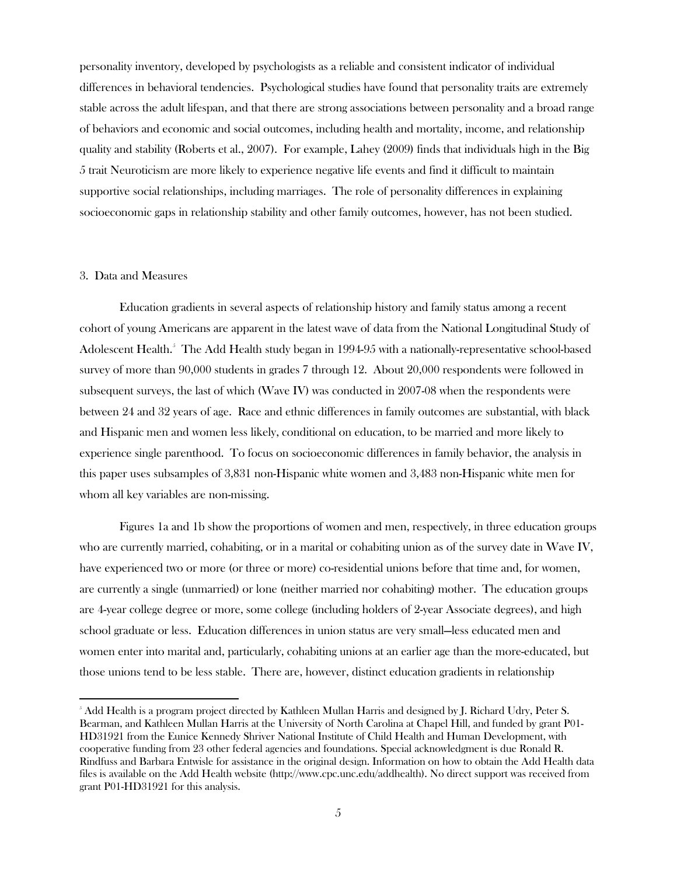personality inventory, developed by psychologists as a reliable and consistent indicator of individual differences in behavioral tendencies. Psychological studies have found that personality traits are extremely stable across the adult lifespan, and that there are strong associations between personality and a broad range of behaviors and economic and social outcomes, including health and mortality, income, and relationship quality and stability (Roberts et al., 2007). For example, Lahey (2009) finds that individuals high in the Big 5 trait Neuroticism are more likely to experience negative life events and find it difficult to maintain supportive social relationships, including marriages. The role of personality differences in explaining socioeconomic gaps in relationship stability and other family outcomes, however, has not been studied.

#### 3. Data and Measures

l

Education gradients in several aspects of relationship history and family status among a recent cohort of young Americans are apparent in the latest wave of data from the National Longitudinal Study of Adolescent Health[.5](#page-6-1) The Add Health study began in 1994-95 with a nationally-representative school-based survey of more than 90,000 students in grades 7 through 12. About 20,000 respondents were followed in subsequent surveys, the last of which (Wave IV) was conducted in 2007-08 when the respondents were between 24 and 32 years of age. Race and ethnic differences in family outcomes are substantial, with black and Hispanic men and women less likely, conditional on education, to be married and more likely to experience single parenthood. To focus on socioeconomic differences in family behavior, the analysis in this paper uses subsamples of 3,831 non-Hispanic white women and 3,483 non-Hispanic white men for whom all key variables are non-missing.

Figures 1a and 1b show the proportions of women and men, respectively, in three education groups who are currently married, cohabiting, or in a marital or cohabiting union as of the survey date in Wave IV, have experienced two or more (or three or more) co-residential unions before that time and, for women, are currently a single (unmarried) or lone (neither married nor cohabiting) mother. The education groups are 4-year college degree or more, some college (including holders of 2-year Associate degrees), and high school graduate or less. Education differences in union status are very small—less educated men and women enter into marital and, particularly, cohabiting unions at an earlier age than the more-educated, but those unions tend to be less stable. There are, however, distinct education gradients in relationship

<span id="page-7-0"></span> $^{\circ}$  Add Health is a program project directed by Kathleen Mullan Harris and designed by J. Richard Udry, Peter S. Bearman, and Kathleen Mullan Harris at the University of North Carolina at Chapel Hill, and funded by grant P01- HD31921 from the Eunice Kennedy Shriver National Institute of Child Health and Human Development, with cooperative funding from 23 other federal agencies and foundations. Special acknowledgment is due Ronald R. Rindfuss and Barbara Entwisle for assistance in the original design. Information on how to obtain the Add Health data files is available on the Add Health website (http://www.cpc.unc.edu/addhealth). No direct support was received from grant P01-HD31921 for this analysis.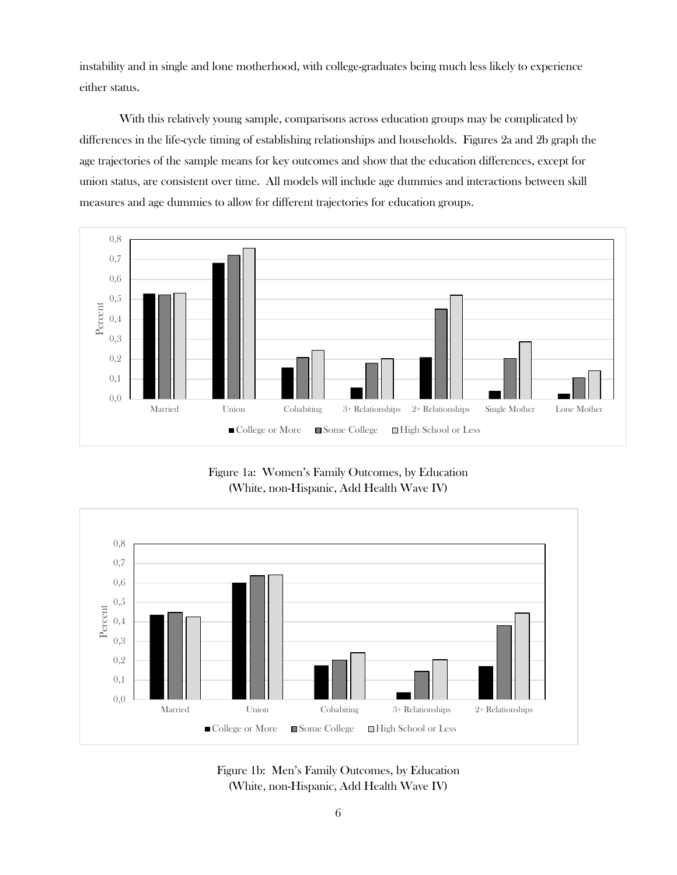instability and in single and lone motherhood, with college-graduates being much less likely to experience either status.

With this relatively young sample, comparisons across education groups may be complicated by differences in the life-cycle timing of establishing relationships and households. Figures 2a and 2b graph the age trajectories of the sample means for key outcomes and show that the education differences, except for union status, are consistent over time. All models will include age dummies and interactions between skill measures and age dummies to allow for different trajectories for education groups.



Figure 1a: Women's Family Outcomes, by Education (White, non-Hispanic, Add Health Wave IV)



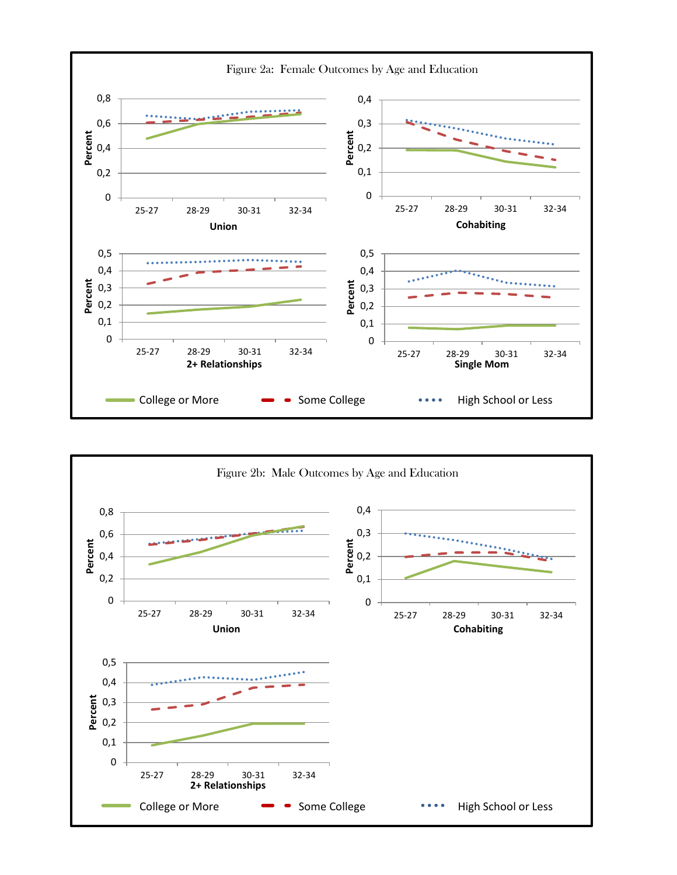

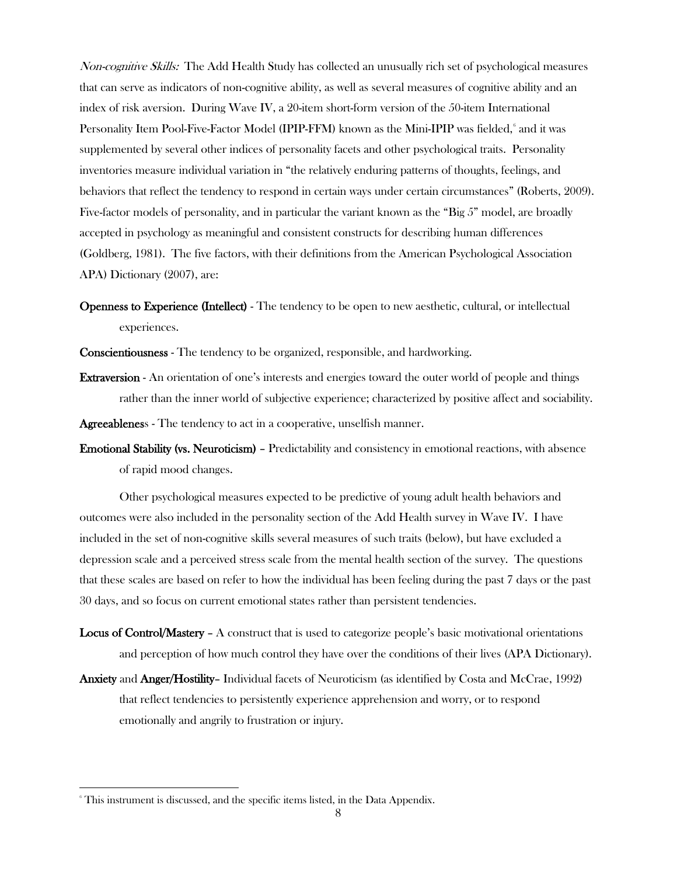Non-cognitive Skills: The Add Health Study has collected an unusually rich set of psychological measures that can serve as indicators of non-cognitive ability, as well as several measures of cognitive ability and an index of risk aversion. During Wave IV, a 20-item short-form version of the 50-item International Personality Item Pool-Five-Factor Model (IPIP-FFM) known as the Mini-IPIP was fielded,  $\degree$  and it was supplemented by several other indices of personality facets and other psychological traits. Personality inventories measure individual variation in "the relatively enduring patterns of thoughts, feelings, and behaviors that reflect the tendency to respond in certain ways under certain circumstances" (Roberts, 2009). Five-factor models of personality, and in particular the variant known as the "Big 5" model, are broadly accepted in psychology as meaningful and consistent constructs for describing human differences (Goldberg, 1981). The five factors, with their definitions from the American Psychological Association APA) Dictionary (2007), are:

Openness to Experience (Intellect) - The tendency to be open to new aesthetic, cultural, or intellectual experiences.

Conscientiousness - The tendency to be organized, responsible, and hardworking.

Extraversion - An orientation of one's interests and energies toward the outer world of people and things rather than the inner world of subjective experience; characterized by positive affect and sociability.

Agreeableness - The tendency to act in a cooperative, unselfish manner.

Emotional Stability (vs. Neuroticism) – Predictability and consistency in emotional reactions, with absence of rapid mood changes.

Other psychological measures expected to be predictive of young adult health behaviors and outcomes were also included in the personality section of the Add Health survey in Wave IV. I have included in the set of non-cognitive skills several measures of such traits (below), but have excluded a depression scale and a perceived stress scale from the mental health section of the survey. The questions that these scales are based on refer to how the individual has been feeling during the past 7 days or the past 30 days, and so focus on current emotional states rather than persistent tendencies.

- Locus of Control/Mastery A construct that is used to categorize people's basic motivational orientations and perception of how much control they have over the conditions of their lives (APA Dictionary).
- Anxiety and Anger/Hostility– Individual facets of Neuroticism (as identified by Costa and McCrae, 1992) that reflect tendencies to persistently experience apprehension and worry, or to respond emotionally and angrily to frustration or injury.

<span id="page-10-0"></span>l

 $\degree$  This instrument is discussed, and the specific items listed, in the Data Appendix.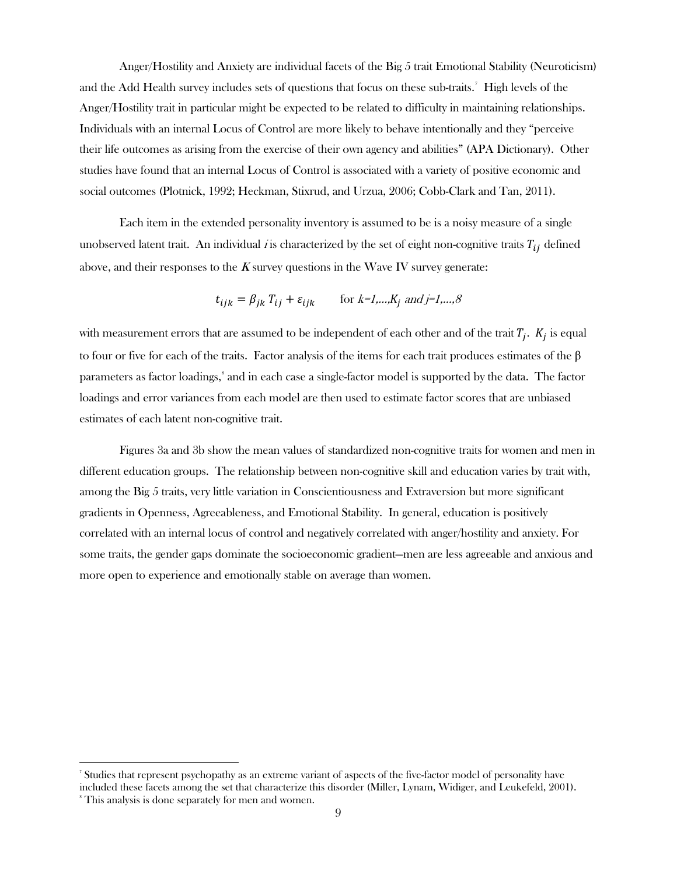Anger/Hostility and Anxiety are individual facets of the Big 5 trait Emotional Stability (Neuroticism) and the Add Health survey includes sets of questions that focus on these sub-traits.[7](#page-10-0) High levels of the Anger/Hostility trait in particular might be expected to be related to difficulty in maintaining relationships. Individuals with an internal Locus of Control are more likely to behave intentionally and they "perceive their life outcomes as arising from the exercise of their own agency and abilities" (APA Dictionary). Other studies have found that an internal Locus of Control is associated with a variety of positive economic and social outcomes (Plotnick, 1992; Heckman, Stixrud, and Urzua, 2006; Cobb-Clark and Tan, 2011).

Each item in the extended personality inventory is assumed to be is a noisy measure of a single unobserved latent trait. An individual *i* is characterized by the set of eight non-cognitive traits  $T_{ij}$  defined above, and their responses to the  $K$  survey questions in the Wave IV survey generate:

$$
t_{ijk} = \beta_{jk} T_{ij} + \varepsilon_{ijk} \qquad \text{for } k = 1, \dots, K_j \text{ and } j = 1, \dots, 8
$$

with measurement errors that are assumed to be independent of each other and of the trait  $T_i$ .  $K_i$  is equal to four or five for each of the traits. Factor analysis of the items for each trait produces estimates of the β parameters as factor loadings, $^{\circ}$  and in each case a single-factor model is supported by the data. The factor loadings and error variances from each model are then used to estimate factor scores that are unbiased estimates of each latent non-cognitive trait.

Figures 3a and 3b show the mean values of standardized non-cognitive traits for women and men in different education groups. The relationship between non-cognitive skill and education varies by trait with, among the Big 5 traits, very little variation in Conscientiousness and Extraversion but more significant gradients in Openness, Agreeableness, and Emotional Stability. In general, education is positively correlated with an internal locus of control and negatively correlated with anger/hostility and anxiety. For some traits, the gender gaps dominate the socioeconomic gradient—men are less agreeable and anxious and more open to experience and emotionally stable on average than women.

<span id="page-11-1"></span>l

<span id="page-11-0"></span><sup>7</sup> Studies that represent psychopathy as an extreme variant of aspects of the five-factor model of personality have included these facets among the set that characterize this disorder (Miller, Lynam, Widiger, and Leukefeld, 2001). 8 This analysis is done separately for men and women.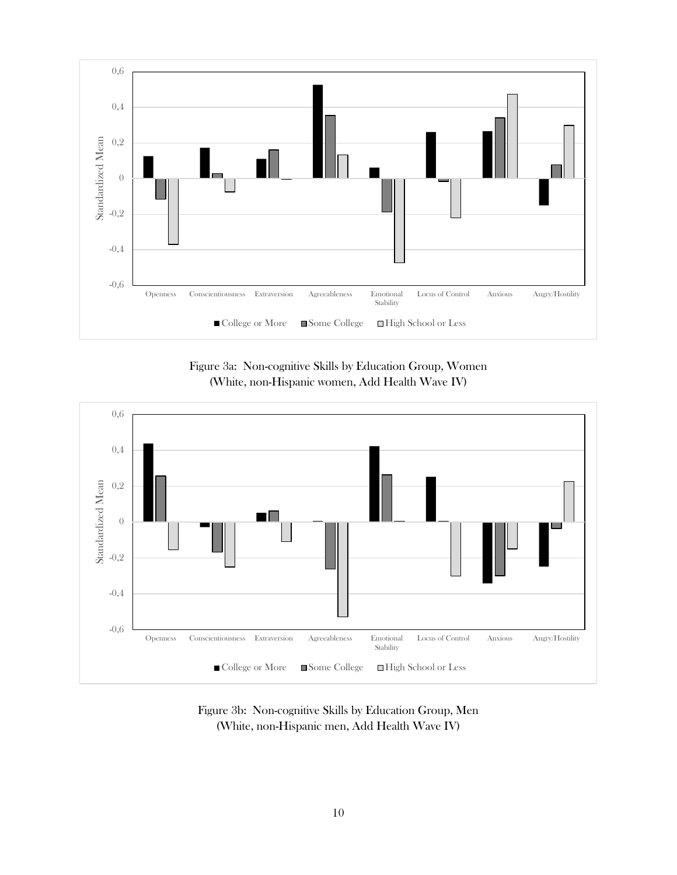

Figure 3a: Non-cognitive Skills by Education Group, Women (White, non-Hispanic women, Add Health Wave IV)



Figure 3b: Non-cognitive Skills by Education Group, Men (White, non-Hispanic men, Add Health Wave IV)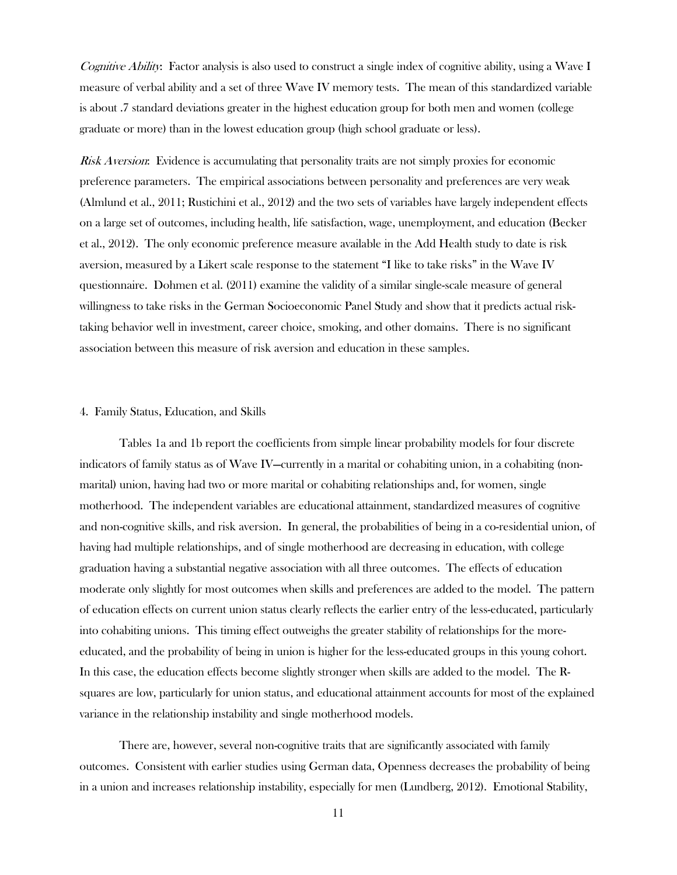Cognitive Ability: Factor analysis is also used to construct a single index of cognitive ability, using a Wave I measure of verbal ability and a set of three Wave IV memory tests. The mean of this standardized variable is about .7 standard deviations greater in the highest education group for both men and women (college graduate or more) than in the lowest education group (high school graduate or less).

Risk Aversion: Evidence is accumulating that personality traits are not simply proxies for economic preference parameters. The empirical associations between personality and preferences are very weak (Almlund et al., 2011; Rustichini et al., 2012) and the two sets of variables have largely independent effects on a large set of outcomes, including health, life satisfaction, wage, unemployment, and education (Becker et al., 2012). The only economic preference measure available in the Add Health study to date is risk aversion, measured by a Likert scale response to the statement "I like to take risks" in the Wave IV questionnaire. Dohmen et al. (2011) examine the validity of a similar single-scale measure of general willingness to take risks in the German Socioeconomic Panel Study and show that it predicts actual risktaking behavior well in investment, career choice, smoking, and other domains. There is no significant association between this measure of risk aversion and education in these samples.

#### 4. Family Status, Education, and Skills

Tables 1a and 1b report the coefficients from simple linear probability models for four discrete indicators of family status as of Wave IV—currently in a marital or cohabiting union, in a cohabiting (nonmarital) union, having had two or more marital or cohabiting relationships and, for women, single motherhood. The independent variables are educational attainment, standardized measures of cognitive and non-cognitive skills, and risk aversion. In general, the probabilities of being in a co-residential union, of having had multiple relationships, and of single motherhood are decreasing in education, with college graduation having a substantial negative association with all three outcomes. The effects of education moderate only slightly for most outcomes when skills and preferences are added to the model. The pattern of education effects on current union status clearly reflects the earlier entry of the less-educated, particularly into cohabiting unions. This timing effect outweighs the greater stability of relationships for the moreeducated, and the probability of being in union is higher for the less-educated groups in this young cohort. In this case, the education effects become slightly stronger when skills are added to the model. The Rsquares are low, particularly for union status, and educational attainment accounts for most of the explained variance in the relationship instability and single motherhood models.

There are, however, several non-cognitive traits that are significantly associated with family outcomes. Consistent with earlier studies using German data, Openness decreases the probability of being in a union and increases relationship instability, especially for men (Lundberg, 2012). Emotional Stability,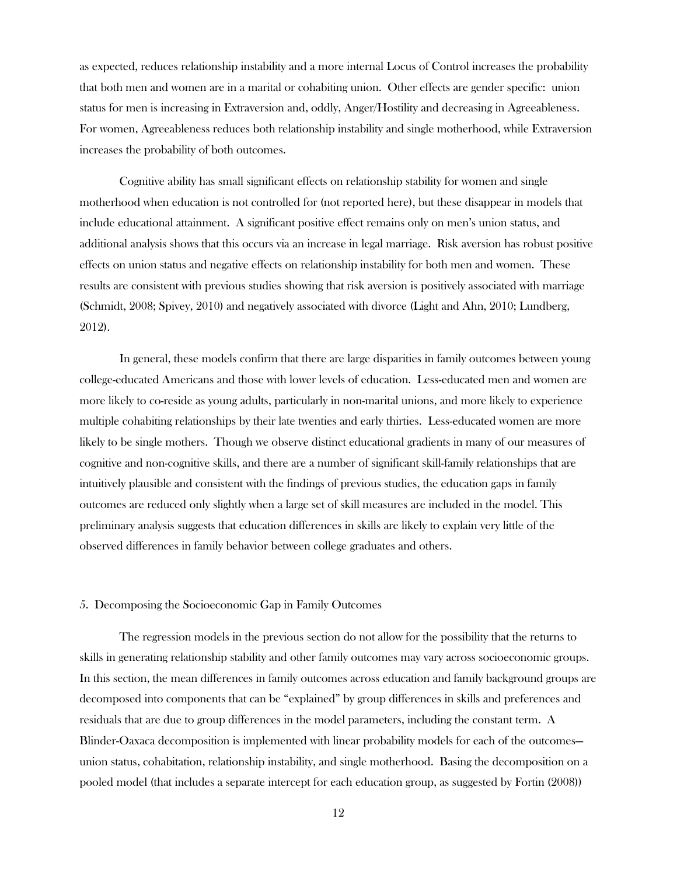as expected, reduces relationship instability and a more internal Locus of Control increases the probability that both men and women are in a marital or cohabiting union. Other effects are gender specific: union status for men is increasing in Extraversion and, oddly, Anger/Hostility and decreasing in Agreeableness. For women, Agreeableness reduces both relationship instability and single motherhood, while Extraversion increases the probability of both outcomes.

Cognitive ability has small significant effects on relationship stability for women and single motherhood when education is not controlled for (not reported here), but these disappear in models that include educational attainment. A significant positive effect remains only on men's union status, and additional analysis shows that this occurs via an increase in legal marriage. Risk aversion has robust positive effects on union status and negative effects on relationship instability for both men and women. These results are consistent with previous studies showing that risk aversion is positively associated with marriage (Schmidt, 2008; Spivey, 2010) and negatively associated with divorce (Light and Ahn, 2010; Lundberg, 2012).

In general, these models confirm that there are large disparities in family outcomes between young college-educated Americans and those with lower levels of education. Less-educated men and women are more likely to co-reside as young adults, particularly in non-marital unions, and more likely to experience multiple cohabiting relationships by their late twenties and early thirties. Less-educated women are more likely to be single mothers. Though we observe distinct educational gradients in many of our measures of cognitive and non-cognitive skills, and there are a number of significant skill-family relationships that are intuitively plausible and consistent with the findings of previous studies, the education gaps in family outcomes are reduced only slightly when a large set of skill measures are included in the model. This preliminary analysis suggests that education differences in skills are likely to explain very little of the observed differences in family behavior between college graduates and others.

#### 5. Decomposing the Socioeconomic Gap in Family Outcomes

The regression models in the previous section do not allow for the possibility that the returns to skills in generating relationship stability and other family outcomes may vary across socioeconomic groups. In this section, the mean differences in family outcomes across education and family background groups are decomposed into components that can be "explained" by group differences in skills and preferences and residuals that are due to group differences in the model parameters, including the constant term. A Blinder-Oaxaca decomposition is implemented with linear probability models for each of the outcomes union status, cohabitation, relationship instability, and single motherhood. Basing the decomposition on a pooled model (that includes a separate intercept for each education group, as suggested by Fortin (2008))

12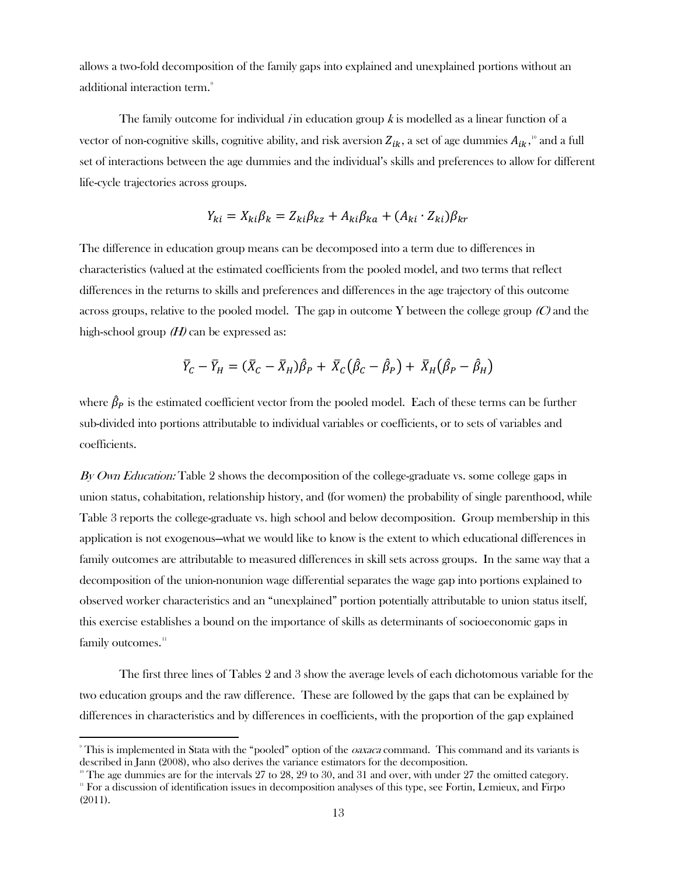allows a two-fold decomposition of the family gaps into explained and unexplained portions without an additional interaction term.<sup>[9](#page-11-1)</sup>

The family outcome for individual *i* in education group  $k$  is modelled as a linear function of a vector of non-cognitive skills, cognitive ability, and risk aversion  $Z_{ik}$ , a set of age dummies  $A_{ik}$ ,  $\cdot$  and a full set of interactions between the age dummies and the individual's skills and preferences to allow for different life-cycle trajectories across groups.

$$
Y_{ki} = X_{ki}\beta_k = Z_{ki}\beta_{kz} + A_{ki}\beta_{ka} + (A_{ki} \cdot Z_{ki})\beta_{kr}
$$

The difference in education group means can be decomposed into a term due to differences in characteristics (valued at the estimated coefficients from the pooled model, and two terms that reflect differences in the returns to skills and preferences and differences in the age trajectory of this outcome across groups, relative to the pooled model. The gap in outcome Y between the college group  $\mathcal{O}$  and the high-school group  $(H)$  can be expressed as:

$$
\bar{Y}_C - \bar{Y}_H = (\bar{X}_C - \bar{X}_H)\hat{\beta}_P + \bar{X}_C(\hat{\beta}_C - \hat{\beta}_P) + \bar{X}_H(\hat{\beta}_P - \hat{\beta}_H)
$$

where  $\beta_P$  is the estimated coefficient vector from the pooled model. Each of these terms can be further sub-divided into portions attributable to individual variables or coefficients, or to sets of variables and coefficients.

By Own Education: Table 2 shows the decomposition of the college-graduate vs. some college gaps in union status, cohabitation, relationship history, and (for women) the probability of single parenthood, while Table 3 reports the college-graduate vs. high school and below decomposition. Group membership in this application is not exogenous—what we would like to know is the extent to which educational differences in family outcomes are attributable to measured differences in skill sets across groups. In the same way that a decomposition of the union-nonunion wage differential separates the wage gap into portions explained to observed worker characteristics and an "unexplained" portion potentially attributable to union status itself, this exercise establishes a bound on the importance of skills as determinants of socioeconomic gaps in family outcomes.<sup>[11](#page-15-1)</sup>

The first three lines of Tables 2 and 3 show the average levels of each dichotomous variable for the two education groups and the raw difference. These are followed by the gaps that can be explained by differences in characteristics and by differences in coefficients, with the proportion of the gap explained

l

This is implemented in Stata with the "pooled" option of the *oaxaca* command. This command and its variants is described in Jann (2008), who also derives the variance estimators for the decomposition.

<span id="page-15-0"></span><sup>&</sup>lt;sup>10</sup> The age dummies are for the intervals 27 to 28, 29 to 30, and 31 and over, with under 27 the omitted category.

<span id="page-15-1"></span><sup>11</sup> For a discussion of identification issues in decomposition analyses of this type, see Fortin, Lemieux, and Firpo (2011).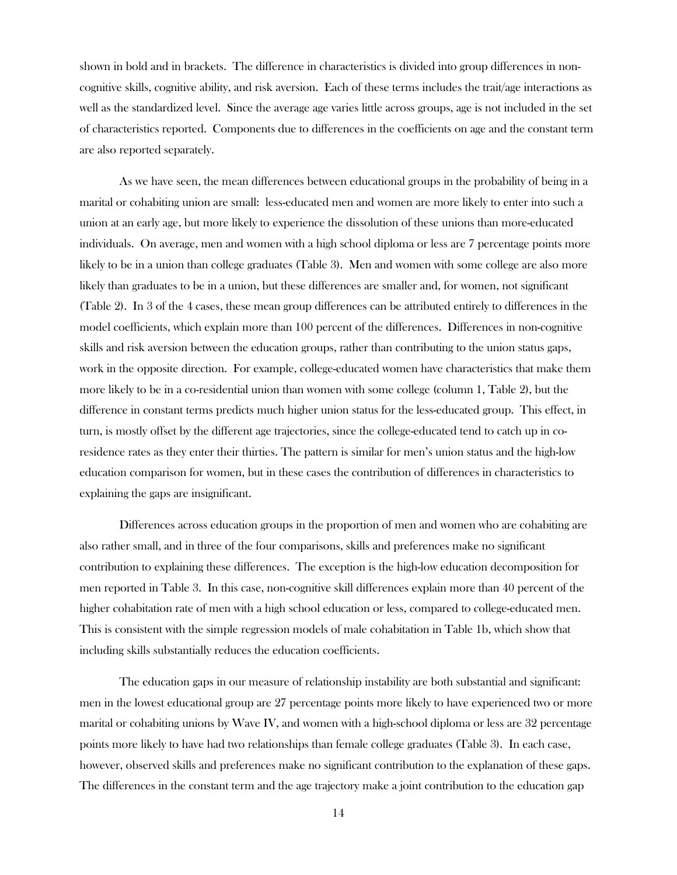shown in bold and in brackets. The difference in characteristics is divided into group differences in noncognitive skills, cognitive ability, and risk aversion. Each of these terms includes the trait/age interactions as well as the standardized level. Since the average age varies little across groups, age is not included in the set of characteristics reported. Components due to differences in the coefficients on age and the constant term are also reported separately.

As we have seen, the mean differences between educational groups in the probability of being in a marital or cohabiting union are small: less-educated men and women are more likely to enter into such a union at an early age, but more likely to experience the dissolution of these unions than more-educated individuals. On average, men and women with a high school diploma or less are 7 percentage points more likely to be in a union than college graduates (Table 3). Men and women with some college are also more likely than graduates to be in a union, but these differences are smaller and, for women, not significant (Table 2). In 3 of the 4 cases, these mean group differences can be attributed entirely to differences in the model coefficients, which explain more than 100 percent of the differences. Differences in non-cognitive skills and risk aversion between the education groups, rather than contributing to the union status gaps, work in the opposite direction. For example, college-educated women have characteristics that make them more likely to be in a co-residential union than women with some college (column 1, Table 2), but the difference in constant terms predicts much higher union status for the less-educated group. This effect, in turn, is mostly offset by the different age trajectories, since the college-educated tend to catch up in coresidence rates as they enter their thirties. The pattern is similar for men's union status and the high-low education comparison for women, but in these cases the contribution of differences in characteristics to explaining the gaps are insignificant.

Differences across education groups in the proportion of men and women who are cohabiting are also rather small, and in three of the four comparisons, skills and preferences make no significant contribution to explaining these differences. The exception is the high-low education decomposition for men reported in Table 3. In this case, non-cognitive skill differences explain more than 40 percent of the higher cohabitation rate of men with a high school education or less, compared to college-educated men. This is consistent with the simple regression models of male cohabitation in Table 1b, which show that including skills substantially reduces the education coefficients.

The education gaps in our measure of relationship instability are both substantial and significant: men in the lowest educational group are 27 percentage points more likely to have experienced two or more marital or cohabiting unions by Wave IV, and women with a high-school diploma or less are 32 percentage points more likely to have had two relationships than female college graduates (Table 3). In each case, however, observed skills and preferences make no significant contribution to the explanation of these gaps. The differences in the constant term and the age trajectory make a joint contribution to the education gap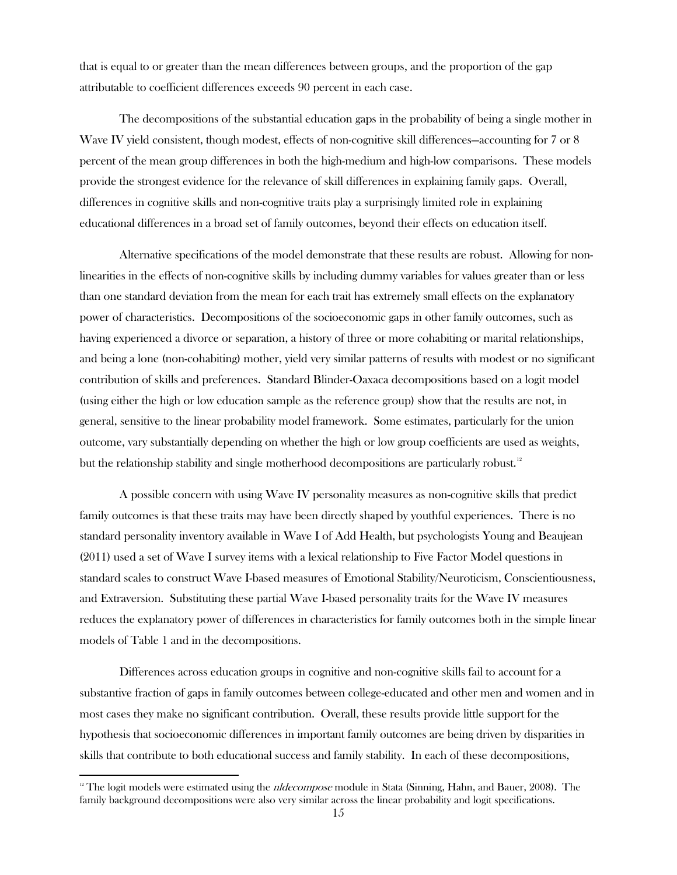that is equal to or greater than the mean differences between groups, and the proportion of the gap attributable to coefficient differences exceeds 90 percent in each case.

The decompositions of the substantial education gaps in the probability of being a single mother in Wave IV yield consistent, though modest, effects of non-cognitive skill differences—accounting for 7 or 8 percent of the mean group differences in both the high-medium and high-low comparisons. These models provide the strongest evidence for the relevance of skill differences in explaining family gaps. Overall, differences in cognitive skills and non-cognitive traits play a surprisingly limited role in explaining educational differences in a broad set of family outcomes, beyond their effects on education itself.

Alternative specifications of the model demonstrate that these results are robust. Allowing for nonlinearities in the effects of non-cognitive skills by including dummy variables for values greater than or less than one standard deviation from the mean for each trait has extremely small effects on the explanatory power of characteristics. Decompositions of the socioeconomic gaps in other family outcomes, such as having experienced a divorce or separation, a history of three or more cohabiting or marital relationships, and being a lone (non-cohabiting) mother, yield very similar patterns of results with modest or no significant contribution of skills and preferences. Standard Blinder-Oaxaca decompositions based on a logit model (using either the high or low education sample as the reference group) show that the results are not, in general, sensitive to the linear probability model framework. Some estimates, particularly for the union outcome, vary substantially depending on whether the high or low group coefficients are used as weights, but the relationship stability and single motherhood decompositions are particularly robust.<sup>[12](#page-15-1)</sup>

A possible concern with using Wave IV personality measures as non-cognitive skills that predict family outcomes is that these traits may have been directly shaped by youthful experiences. There is no standard personality inventory available in Wave I of Add Health, but psychologists Young and Beaujean (2011) used a set of Wave I survey items with a lexical relationship to Five Factor Model questions in standard scales to construct Wave I-based measures of Emotional Stability/Neuroticism, Conscientiousness, and Extraversion. Substituting these partial Wave I-based personality traits for the Wave IV measures reduces the explanatory power of differences in characteristics for family outcomes both in the simple linear models of Table 1 and in the decompositions.

Differences across education groups in cognitive and non-cognitive skills fail to account for a substantive fraction of gaps in family outcomes between college-educated and other men and women and in most cases they make no significant contribution. Overall, these results provide little support for the hypothesis that socioeconomic differences in important family outcomes are being driven by disparities in skills that contribute to both educational success and family stability. In each of these decompositions,

 $\overline{\phantom{a}}$ 

<span id="page-17-0"></span><sup>&</sup>lt;sup>12</sup> The logit models were estimated using the *nldecompose* module in Stata (Sinning, Hahn, and Bauer, 2008). The family background decompositions were also very similar across the linear probability and logit specifications.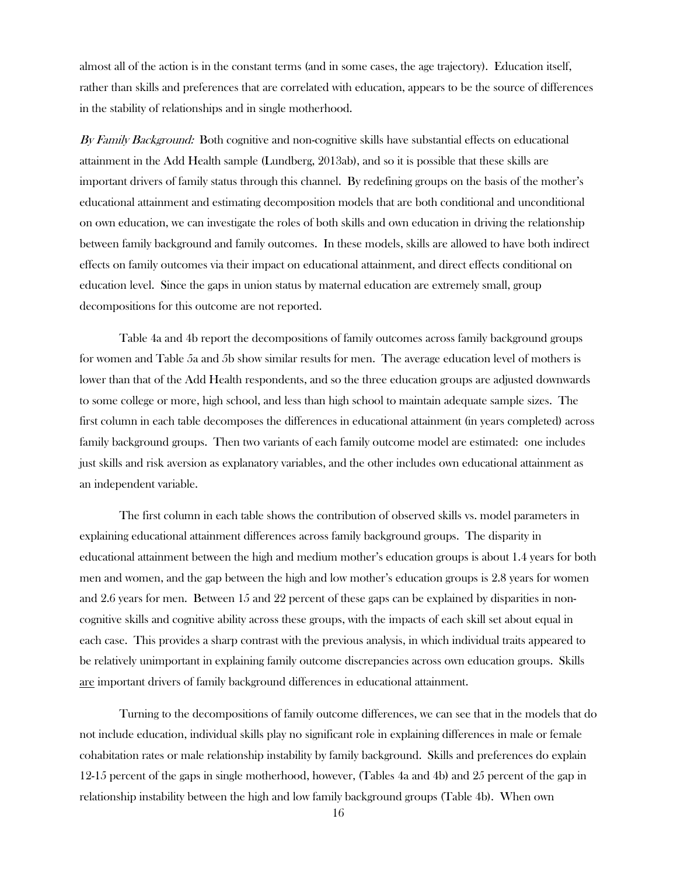almost all of the action is in the constant terms (and in some cases, the age trajectory). Education itself, rather than skills and preferences that are correlated with education, appears to be the source of differences in the stability of relationships and in single motherhood.

By Family Background: Both cognitive and non-cognitive skills have substantial effects on educational attainment in the Add Health sample (Lundberg, 2013ab), and so it is possible that these skills are important drivers of family status through this channel. By redefining groups on the basis of the mother's educational attainment and estimating decomposition models that are both conditional and unconditional on own education, we can investigate the roles of both skills and own education in driving the relationship between family background and family outcomes. In these models, skills are allowed to have both indirect effects on family outcomes via their impact on educational attainment, and direct effects conditional on education level. Since the gaps in union status by maternal education are extremely small, group decompositions for this outcome are not reported.

Table 4a and 4b report the decompositions of family outcomes across family background groups for women and Table 5a and 5b show similar results for men. The average education level of mothers is lower than that of the Add Health respondents, and so the three education groups are adjusted downwards to some college or more, high school, and less than high school to maintain adequate sample sizes. The first column in each table decomposes the differences in educational attainment (in years completed) across family background groups. Then two variants of each family outcome model are estimated: one includes just skills and risk aversion as explanatory variables, and the other includes own educational attainment as an independent variable.

The first column in each table shows the contribution of observed skills vs. model parameters in explaining educational attainment differences across family background groups. The disparity in educational attainment between the high and medium mother's education groups is about 1.4 years for both men and women, and the gap between the high and low mother's education groups is 2.8 years for women and 2.6 years for men. Between 15 and 22 percent of these gaps can be explained by disparities in noncognitive skills and cognitive ability across these groups, with the impacts of each skill set about equal in each case. This provides a sharp contrast with the previous analysis, in which individual traits appeared to be relatively unimportant in explaining family outcome discrepancies across own education groups. Skills are important drivers of family background differences in educational attainment.

Turning to the decompositions of family outcome differences, we can see that in the models that do not include education, individual skills play no significant role in explaining differences in male or female cohabitation rates or male relationship instability by family background. Skills and preferences do explain 12-15 percent of the gaps in single motherhood, however, (Tables 4a and 4b) and 25 percent of the gap in relationship instability between the high and low family background groups (Table 4b). When own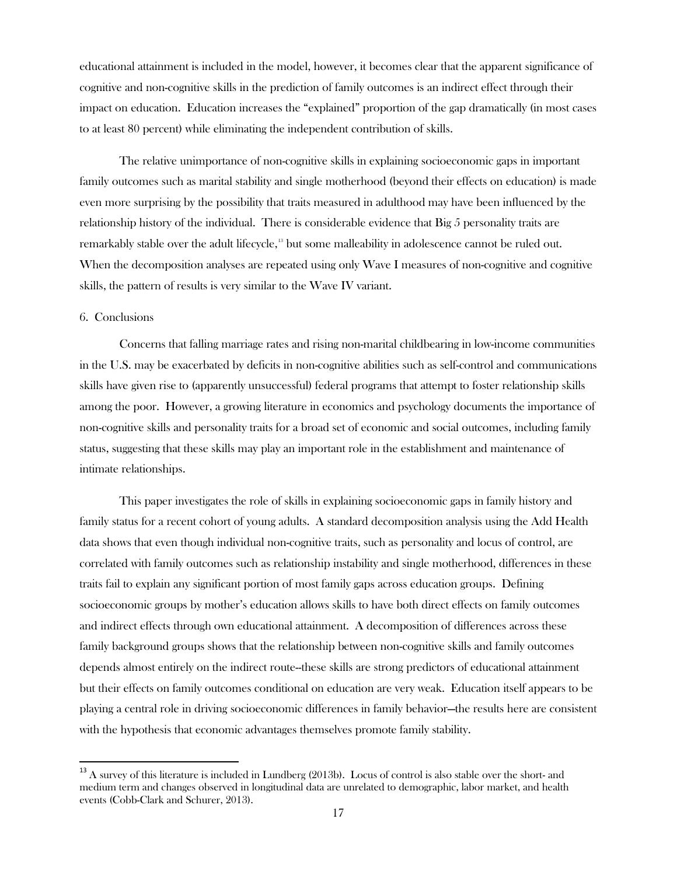educational attainment is included in the model, however, it becomes clear that the apparent significance of cognitive and non-cognitive skills in the prediction of family outcomes is an indirect effect through their impact on education. Education increases the "explained" proportion of the gap dramatically (in most cases to at least 80 percent) while eliminating the independent contribution of skills.

The relative unimportance of non-cognitive skills in explaining socioeconomic gaps in important family outcomes such as marital stability and single motherhood (beyond their effects on education) is made even more surprising by the possibility that traits measured in adulthood may have been influenced by the relationship history of the individual. There is considerable evidence that Big 5 personality traits are remarkably stable over the adult lifecycle,<sup>[13](#page-17-0)</sup> but some malleability in adolescence cannot be ruled out. When the decomposition analyses are repeated using only Wave I measures of non-cognitive and cognitive skills, the pattern of results is very similar to the Wave IV variant.

#### 6. Conclusions

Concerns that falling marriage rates and rising non-marital childbearing in low-income communities in the U.S. may be exacerbated by deficits in non-cognitive abilities such as self-control and communications skills have given rise to (apparently unsuccessful) federal programs that attempt to foster relationship skills among the poor. However, a growing literature in economics and psychology documents the importance of non-cognitive skills and personality traits for a broad set of economic and social outcomes, including family status, suggesting that these skills may play an important role in the establishment and maintenance of intimate relationships.

This paper investigates the role of skills in explaining socioeconomic gaps in family history and family status for a recent cohort of young adults. A standard decomposition analysis using the Add Health data shows that even though individual non-cognitive traits, such as personality and locus of control, are correlated with family outcomes such as relationship instability and single motherhood, differences in these traits fail to explain any significant portion of most family gaps across education groups. Defining socioeconomic groups by mother's education allows skills to have both direct effects on family outcomes and indirect effects through own educational attainment. A decomposition of differences across these family background groups shows that the relationship between non-cognitive skills and family outcomes depends almost entirely on the indirect route--these skills are strong predictors of educational attainment but their effects on family outcomes conditional on education are very weak. Education itself appears to be playing a central role in driving socioeconomic differences in family behavior—the results here are consistent with the hypothesis that economic advantages themselves promote family stability.

<span id="page-19-0"></span> $13$  A survey of this literature is included in Lundberg (2013b). Locus of control is also stable over the short- and medium term and changes observed in longitudinal data are unrelated to demographic, labor market, and health events (Cobb-Clark and Schurer, 2013).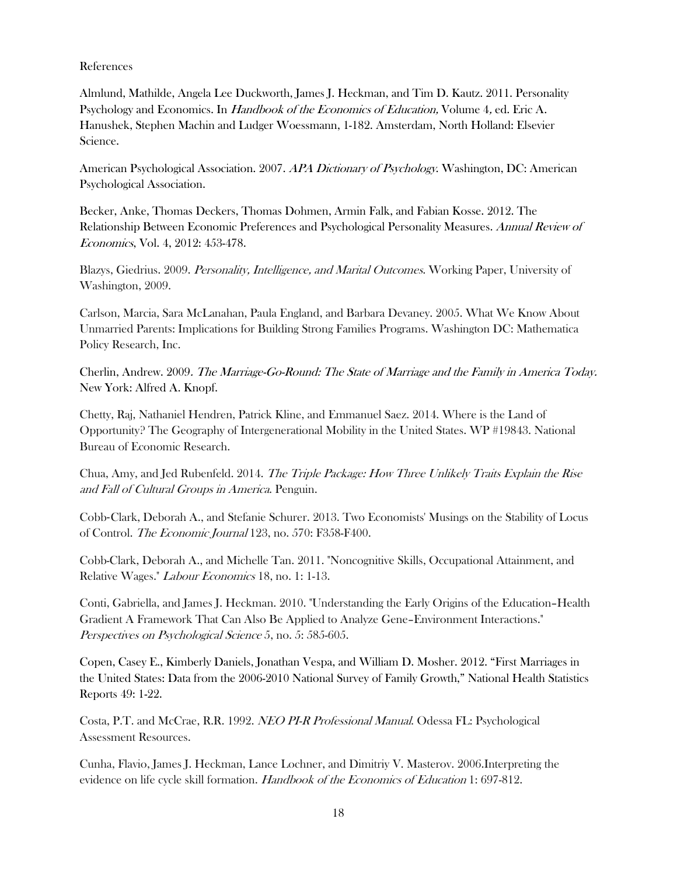#### References

Almlund, Mathilde, Angela Lee Duckworth, James J. Heckman, and Tim D. Kautz. 2011. Personality Psychology and Economics. In Handbook of the Economics of Education, Volume 4, ed. Eric A. Hanushek, Stephen Machin and Ludger Woessmann, 1-182. Amsterdam, North Holland: Elsevier Science.

American Psychological Association. 2007. APA Dictionary of Psychology. Washington, DC: American Psychological Association.

Becker, Anke, Thomas Deckers, Thomas Dohmen, Armin Falk, and Fabian Kosse. 2012. The Relationship Between Economic Preferences and Psychological Personality Measures. Annual Review of Economics, Vol. 4, 2012: 453-478.

Blazys, Giedrius. 2009. Personality, Intelligence, and Marital Outcomes. Working Paper, University of Washington, 2009.

Carlson, Marcia, Sara McLanahan, Paula England, and Barbara Devaney. 2005. What We Know About Unmarried Parents: Implications for Building Strong Families Programs. Washington DC: Mathematica Policy Research, Inc.

Cherlin, Andrew. 2009. The Marriage-Go-Round: The State of Marriage and the Family in America Today. New York: Alfred A. Knopf.

Chetty, Raj, Nathaniel Hendren, Patrick Kline, and Emmanuel Saez. 2014. Where is the Land of Opportunity? The Geography of Intergenerational Mobility in the United States. WP #19843. National Bureau of Economic Research.

Chua, Amy, and Jed Rubenfeld. 2014. The Triple Package: How Three Unlikely Traits Explain the Rise and Fall of Cultural Groups in America. Penguin.

Cobb‐Clark, Deborah A., and Stefanie Schurer. 2013. Two Economists' Musings on the Stability of Locus of Control. The Economic Journal 123, no. 570: F358-F400.

Cobb-Clark, Deborah A., and Michelle Tan. 2011. "Noncognitive Skills, Occupational Attainment, and Relative Wages." Labour Economics 18, no. 1: 1-13.

Conti, Gabriella, and James J. Heckman. 2010. "Understanding the Early Origins of the Education–Health Gradient A Framework That Can Also Be Applied to Analyze Gene–Environment Interactions." Perspectives on Psychological Science 5, no. 5: 585-605.

Copen, Casey E., Kimberly Daniels, Jonathan Vespa, and William D. Mosher. 2012. "First Marriages in the United States: Data from the 2006-2010 National Survey of Family Growth," National Health Statistics Reports 49: 1-22.

Costa, P.T. and McCrae, R.R. 1992. NEO PI-R Professional Manual. Odessa FL: Psychological Assessment Resources.

Cunha, Flavio, James J. Heckman, Lance Lochner, and Dimitriy V. Masterov. 2006.Interpreting the evidence on life cycle skill formation. Handbook of the Economics of Education 1: 697-812.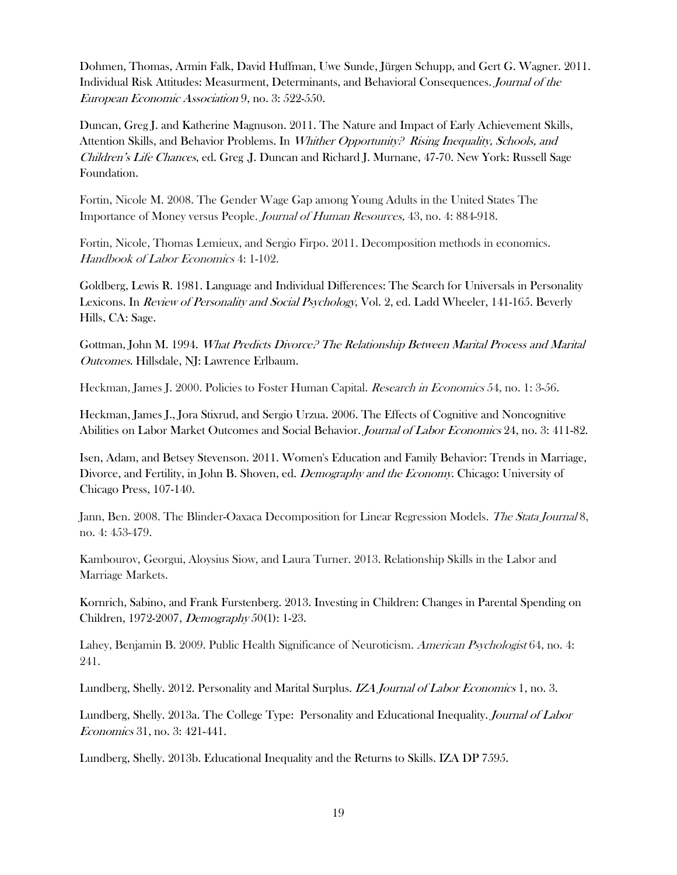Dohmen, Thomas, Armin Falk, David Huffman, Uwe Sunde, Jürgen Schupp, and Gert G. Wagner. 2011. Individual Risk Attitudes: Measurment, Determinants, and Behavioral Consequences. Journal of the European Economic Association 9, no. 3: 522-550.

Duncan, Greg J. and Katherine Magnuson. 2011. The Nature and Impact of Early Achievement Skills, Attention Skills, and Behavior Problems. In Whither Opportunity? Rising Inequality, Schools, and Children's Life Chances, ed. Greg .J. Duncan and Richard J. Murnane, 47-70. New York: Russell Sage Foundation.

Fortin, Nicole M. 2008. The Gender Wage Gap among Young Adults in the United States The Importance of Money versus People. Journal of Human Resources, 43, no. 4: 884-918.

Fortin, Nicole, Thomas Lemieux, and Sergio Firpo. 2011. Decomposition methods in economics. Handbook of Labor Economics 4: 1-102.

Goldberg, Lewis R. 1981. Language and Individual Differences: The Search for Universals in Personality Lexicons. In *Review of Personality and Social Psychology*, Vol. 2, ed. Ladd Wheeler, 141-165. Beverly Hills, CA: Sage.

Gottman, John M. 1994. What Predicts Divorce? The Relationship Between Marital Process and Marital Outcomes. Hillsdale, NJ: Lawrence Erlbaum.

Heckman, James J. 2000. Policies to Foster Human Capital. Research in Economics 54, no. 1: 3-56.

Heckman, James J., Jora Stixrud, and Sergio Urzua. 2006. The Effects of Cognitive and Noncognitive Abilities on Labor Market Outcomes and Social Behavior. Journal of Labor Economics 24, no. 3: 411-82.

Isen, Adam, and Betsey Stevenson. 2011. Women's Education and Family Behavior: Trends in Marriage, Divorce, and Fertility, in John B. Shoven, ed. *Demography and the Economy*. Chicago: University of Chicago Press, 107-140.

Jann, Ben. 2008. The Blinder-Oaxaca Decomposition for Linear Regression Models. The Stata Journal 8, no. 4: 453-479.

Kambourov, Georgui, Aloysius Siow, and Laura Turner. 2013. Relationship Skills in the Labor and Marriage Markets.

Kornrich, Sabino, and Frank Furstenberg. 2013. Investing in Children: Changes in Parental Spending on Children, 1972-2007, Demography 50(1): 1-23.

Lahey, Benjamin B. 2009. Public Health Significance of Neuroticism. American Psychologist 64, no. 4: 241.

Lundberg, Shelly. 2012. Personality and Marital Surplus. IZA Journal of Labor Economics 1, no. 3.

Lundberg, Shelly. 2013a. The College Type: Personality and Educational Inequality. Journal of Labor Economics 31, no. 3: 421-441.

Lundberg, Shelly. 2013b. Educational Inequality and the Returns to Skills. IZA DP 7595.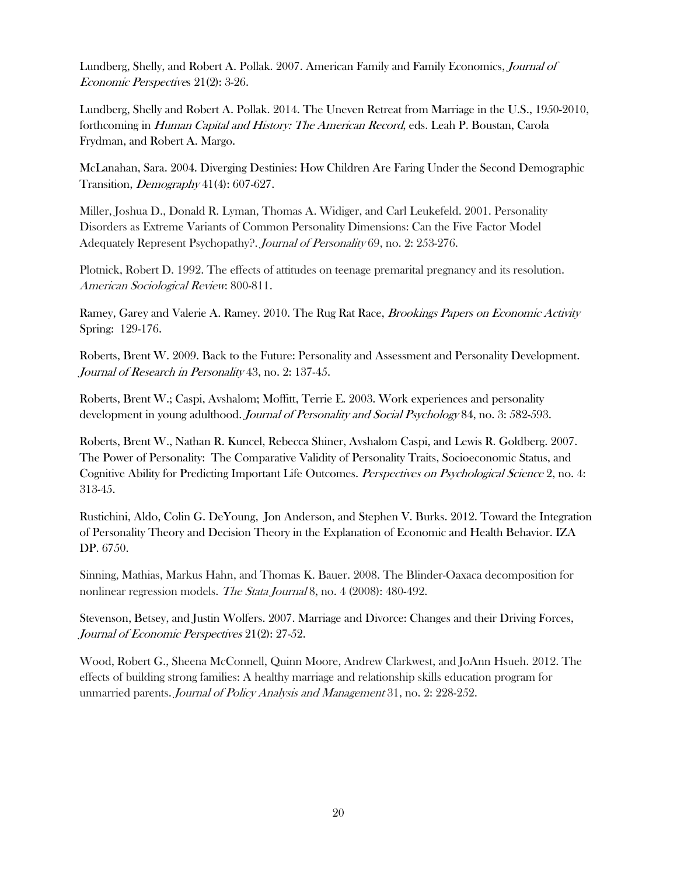Lundberg, Shelly, and Robert A. Pollak. 2007. American Family and Family Economics, Journal of Economic Perspectives 21(2): 3-26.

Lundberg, Shelly and Robert A. Pollak. 2014. The Uneven Retreat from Marriage in the U.S., 1950-2010, forthcoming in Human Capital and History: The American Record, eds. Leah P. Boustan, Carola Frydman, and Robert A. Margo.

McLanahan, Sara. 2004. Diverging Destinies: How Children Are Faring Under the Second Demographic Transition, Demography 41(4): 607-627.

Miller, Joshua D., Donald R. Lyman, Thomas A. Widiger, and Carl Leukefeld. 2001. Personality Disorders as Extreme Variants of Common Personality Dimensions: Can the Five Factor Model Adequately Represent Psychopathy?. Journal of Personality 69, no. 2: 253-276.

Plotnick, Robert D. 1992. The effects of attitudes on teenage premarital pregnancy and its resolution. American Sociological Review: 800-811.

Ramey, Garey and Valerie A. Ramey. 2010. The Rug Rat Race, Brookings Papers on Economic Activity Spring: 129-176.

Roberts, Brent W. 2009. Back to the Future: Personality and Assessment and Personality Development. Journal of Research in Personality 43, no. 2: 137-45.

Roberts, Brent W.; Caspi, Avshalom; Moffitt, Terrie E. 2003. Work experiences and personality development in young adulthood. *Journal of Personality and Social Psychology* 84, no. 3: 582-593.

Roberts, Brent W., Nathan R. Kuncel, Rebecca Shiner, Avshalom Caspi, and Lewis R. Goldberg. 2007. The Power of Personality: The Comparative Validity of Personality Traits, Socioeconomic Status, and Cognitive Ability for Predicting Important Life Outcomes. Perspectives on Psychological Science 2, no. 4: 313-45.

Rustichini, Aldo, Colin G. DeYoung, Jon Anderson, and Stephen V. Burks. 2012. Toward the Integration of Personality Theory and Decision Theory in the Explanation of Economic and Health Behavior. IZA DP. 6750.

Sinning, Mathias, Markus Hahn, and Thomas K. Bauer. 2008. The Blinder-Oaxaca decomposition for nonlinear regression models. The Stata Journal 8, no. 4 (2008): 480-492.

Stevenson, Betsey, and Justin Wolfers. 2007. Marriage and Divorce: Changes and their Driving Forces, Journal of Economic Perspectives 21(2): 27-52.

Wood, Robert G., Sheena McConnell, Quinn Moore, Andrew Clarkwest, and JoAnn Hsueh. 2012. The effects of building strong families: A healthy marriage and relationship skills education program for unmarried parents. Journal of Policy Analysis and Management 31, no. 2: 228-252.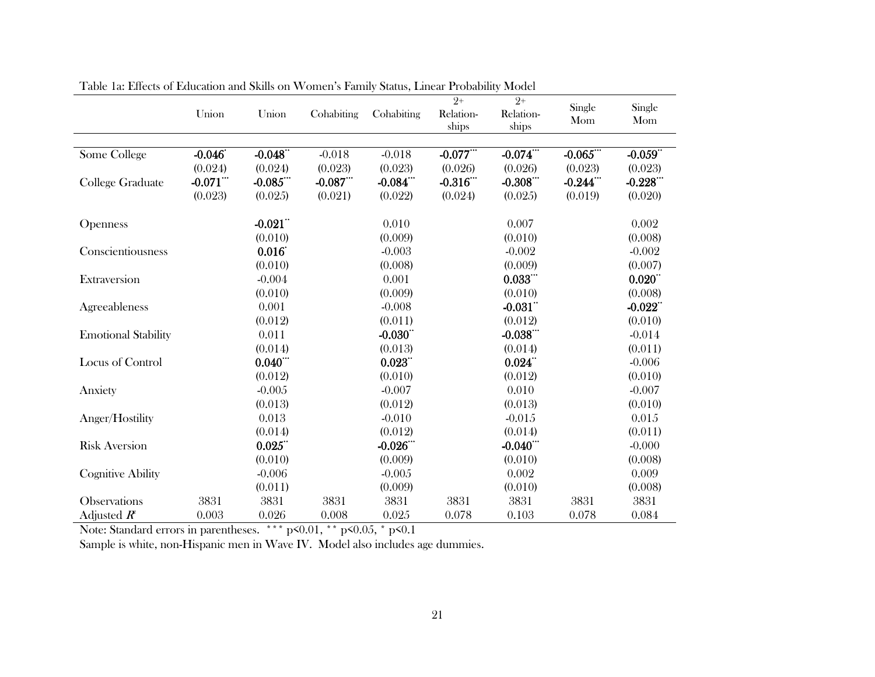|                            | Union    | Union      | Cohabiting | Cohabiting            | $2^{+}$<br>Relation-<br>ships | $2^{+}$<br>Relation-<br>ships | Single<br>Mom | Single<br>Mom |
|----------------------------|----------|------------|------------|-----------------------|-------------------------------|-------------------------------|---------------|---------------|
|                            |          |            |            |                       |                               |                               |               |               |
| Some College               | $-0.046$ | $-0.048$   | $-0.018$   | $-0.018$              | $-0.077$ <sup>T</sup>         | $-0.074$                      | $-0.065$      | $-0.059$      |
|                            | (0.024)  | (0.024)    | (0.023)    | (0.023)               | (0.026)                       | (0.026)                       | (0.023)       | (0.023)       |
| College Graduate           | $-0.071$ | $-0.085$ " | $-0.087$ . | $-0.084$              | $-0.316$ <sup>"</sup>         | $-0.308$ <sup>""</sup>        | $-0.244$      | $-0.228$      |
|                            | (0.023)  | (0.025)    | (0.021)    | (0.022)               | (0.024)                       | (0.025)                       | (0.019)       | (0.020)       |
| Openness                   |          | $-0.021$   |            | 0.010                 |                               | 0.007                         |               | 0.002         |
|                            |          | (0.010)    |            | (0.009)               |                               | (0.010)                       |               | (0.008)       |
| Conscientiousness          |          | 0.016      |            | $-0.003$              |                               | $-0.002$                      |               | $-0.002$      |
|                            |          | (0.010)    |            | (0.008)               |                               | (0.009)                       |               | (0.007)       |
| Extraversion               |          | $-0.004$   |            | 0.001                 |                               | $0.033$ "                     |               | 0.020         |
|                            |          | (0.010)    |            | (0.009)               |                               | (0.010)                       |               | (0.008)       |
| Agreeableness              |          | 0.001      |            | $-0.008$              |                               | $-0.031$                      |               | $-0.022$      |
|                            |          | (0.012)    |            | (0.011)               |                               | (0.012)                       |               | (0.010)       |
| <b>Emotional Stability</b> |          | 0.011      |            | $-0.030$              |                               | $-0.038$ "                    |               | $-0.014$      |
|                            |          | (0.014)    |            | (0.013)               |                               | (0.014)                       |               | (0.011)       |
| Locus of Control           |          | $0.040$ "  |            | 0.023                 |                               | 0.024                         |               | $-0.006$      |
|                            |          | (0.012)    |            | (0.010)               |                               | (0.012)                       |               | (0.010)       |
| Anxiety                    |          | $-0.005$   |            | $-0.007$              |                               | 0.010                         |               | $-0.007$      |
|                            |          | (0.013)    |            | (0.012)               |                               | (0.013)                       |               | (0.010)       |
| Anger/Hostility            |          | 0.013      |            | $-0.010$              |                               | $-0.015$                      |               | 0.015         |
|                            |          | (0.014)    |            | (0.012)               |                               | (0.014)                       |               | (0.011)       |
| <b>Risk Aversion</b>       |          | 0.025      |            | $-0.026$ <sup>"</sup> |                               | $-0.040$ "                    |               | $-0.000$      |
|                            |          | (0.010)    |            | (0.009)               |                               | (0.010)                       |               | (0.008)       |
| <b>Cognitive Ability</b>   |          | $-0.006$   |            | $-0.005$              |                               | 0.002                         |               | 0.009         |
|                            |          | (0.011)    |            | (0.009)               |                               | (0.010)                       |               | (0.008)       |
| <b>Observations</b>        | 3831     | 3831       | 3831       | 3831                  | 3831                          | 3831                          | 3831          | 3831          |
| Adjusted $R^s$             | 0.003    | 0.026      | 0.008      | 0.025                 | 0.078                         | 0.103                         | 0.078         | 0.084         |

Table 1a: Effects of Education and Skills on Women's Family Status, Linear Probability Model

Note: Standard errors in parentheses. \*\*\* p<0.01, \*\* p<0.05, \* p<0.1

Sample is white, non-Hispanic men in Wave IV. Model also includes age dummies.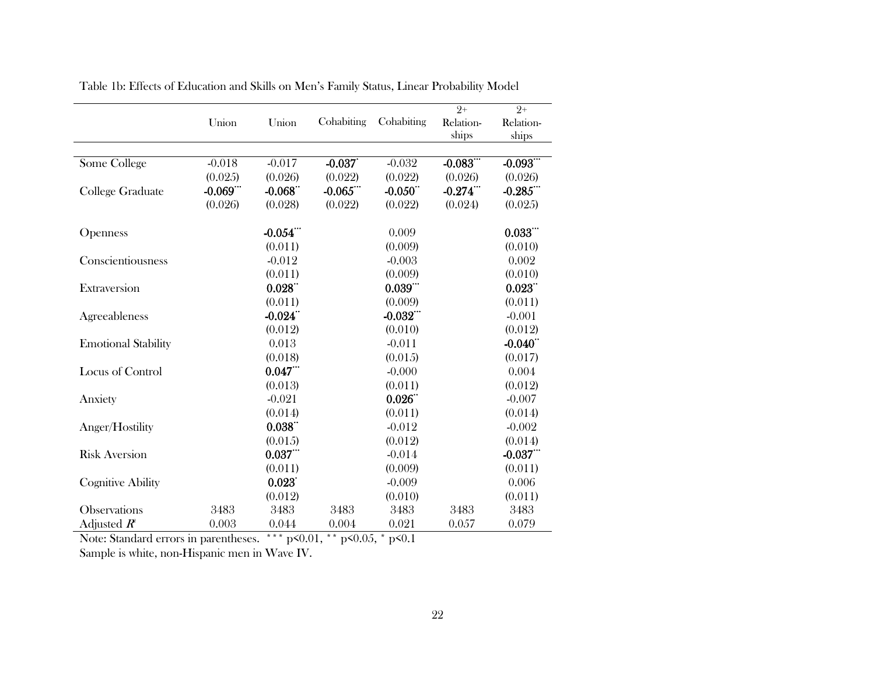|                            |                       |                       |            |            | $2+$      | $\overline{2+}$ |
|----------------------------|-----------------------|-----------------------|------------|------------|-----------|-----------------|
|                            | Union                 | Union                 | Cohabiting | Cohabiting | Relation- | Relation-       |
|                            |                       |                       |            |            | ships     | ships           |
|                            |                       |                       |            |            |           |                 |
| Some College               | $-0.018$              | $-0.017$              | $-0.037$   | $-0.032$   | $-0.083$  | $-0.093$        |
|                            | (0.025)               | (0.026)               | (0.022)    | (0.022)    | (0.026)   | (0.026)         |
| College Graduate           | $-0.069$ <sup>"</sup> | $-0.068$              | $-0.065$   | $-0.050$   | $-0.274$  | $-0.285$        |
|                            | (0.026)               | (0.028)               | (0.022)    | (0.022)    | (0.024)   | (0.025)         |
| <b>Openness</b>            |                       | $-0.054$ <sup>"</sup> |            | 0.009      |           | $0.033$ "       |
|                            |                       | (0.011)               |            | (0.009)    |           | (0.010)         |
| Conscientiousness          |                       | $-0.012$              |            | $-0.003$   |           | 0.002           |
|                            |                       | (0.011)               |            | (0.009)    |           | (0.010)         |
| Extraversion               |                       | 0.028                 |            | $0.039$ "  |           | 0.023           |
|                            |                       | (0.011)               |            | (0.009)    |           | (0.011)         |
| Agreeableness              |                       | $-0.024$              |            | $-0.032$   |           | $-0.001$        |
|                            |                       | (0.012)               |            | (0.010)    |           | (0.012)         |
| <b>Emotional Stability</b> |                       | 0.013                 |            | $-0.011$   |           | $-0.040$        |
|                            |                       | (0.018)               |            | (0.015)    |           | (0.017)         |
| Locus of Control           |                       | $0.047$ .             |            | $-0.000$   |           | 0.004           |
|                            |                       | (0.013)               |            | (0.011)    |           | (0.012)         |
| Anxiety                    |                       | $-0.021$              |            | 0.026      |           | $-0.007$        |
|                            |                       | (0.014)               |            | (0.011)    |           | (0.014)         |
| Anger/Hostility            |                       | 0.038"                |            | $-0.012$   |           | $-0.002$        |
|                            |                       | (0.015)               |            | (0.012)    |           | (0.014)         |
| <b>Risk Aversion</b>       |                       | $0.037$ "             |            | $-0.014$   |           | $-0.037$        |
|                            |                       | (0.011)               |            | (0.009)    |           | (0.011)         |
| <b>Cognitive Ability</b>   |                       | 0.023                 |            | $-0.009$   |           | 0.006           |
|                            |                       | (0.012)               |            | (0.010)    |           | (0.011)         |
| Observations               | 3483                  | 3483                  | 3483       | 3483       | 3483      | 3483            |
| Adjusted $R^i$             | 0.003                 | 0.044                 | 0.004      | 0.021      | 0.057     | 0.079           |

Table 1b: Effects of Education and Skills on Men's Family Status, Linear Probability Model

Note: Standard errors in parentheses. \*\*\* p<0.01, \*\* p<0.05, \* p<0.1

Sample is white, non-Hispanic men in Wave IV.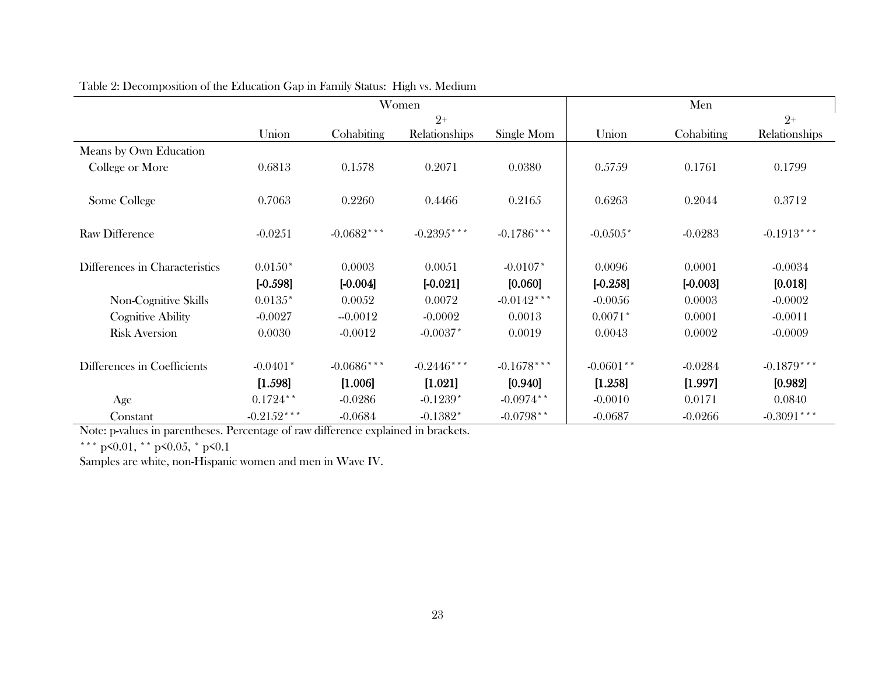|                                | Women        |               |               |               | Men         |            |               |  |
|--------------------------------|--------------|---------------|---------------|---------------|-------------|------------|---------------|--|
|                                |              | $2^{+}$       |               |               |             |            | $2^{+}$       |  |
|                                | Union        | Cohabiting    | Relationships | Single Mom    | Union       | Cohabiting | Relationships |  |
| Means by Own Education         |              |               |               |               |             |            |               |  |
| College or More                | 0.6813       | 0.1578        | 0.2071        | 0.0380        | 0.5759      | 0.1761     | 0.1799        |  |
| Some College                   | 0.7063       | 0.2260        | 0.4466        | 0.2165        | 0.6263      | 0.2044     | 0.3712        |  |
| <b>Raw Difference</b>          | $-0.0251$    | $-0.0682***$  | $-0.2395***$  | $-0.1786$ *** | $-0.0505*$  | $-0.0283$  | $-0.1913***$  |  |
| Differences in Characteristics | $0.0150*$    | 0.0003        | 0.0051        | $-0.0107*$    | 0.0096      | 0.0001     | $-0.0034$     |  |
|                                | $[-0.598]$   | $[-0.004]$    | $[-0.021]$    | [0.060]       | $[-0.258]$  | $[-0.003]$ | [0.018]       |  |
| Non-Cognitive Skills           | $0.0135*$    | 0.0052        | 0.0072        | $-0.0142***$  | $-0.0056$   | 0.0003     | $-0.0002$     |  |
| <b>Cognitive Ability</b>       | $-0.0027$    | $-0.0012$     | $-0.0002$     | 0.0013        | $0.0071*$   | 0.0001     | $-0.0011$     |  |
| <b>Risk Aversion</b>           | 0.0030       | $-0.0012$     | $-0.0037*$    | 0.0019        | 0.0043      | 0.0002     | $-0.0009$     |  |
| Differences in Coefficients    | $-0.0401*$   | $-0.0686$ *** | $-0.2446$ *** | $-0.1678***$  | $-0.0601**$ | $-0.0284$  | $-0.1879***$  |  |
|                                | [1.598]      | [1.006]       | [1.021]       | [0.940]       | [1.258]     | [1.997]    | [0.982]       |  |
| Age                            | $0.1724**$   | $-0.0286$     | $-0.1239*$    | $-0.0974$ **  | $-0.0010$   | 0.0171     | 0.0840        |  |
| Constant                       | $-0.2152***$ | $-0.0684$     | $-0.1382*$    | $-0.0798**$   | $-0.0687$   | $-0.0266$  | $-0.3091$ *** |  |

Table 2: Decomposition of the Education Gap in Family Status: High vs. Medium

Note: p-values in parentheses. Percentage of raw difference explained in brackets.

 $^{\ast\,*\,*}$  p<0.01,  $^{\ast\,*}$  p<0.05,  $^{\ast}$  p<0.1

Samples are white, non-Hispanic women and men in Wave IV.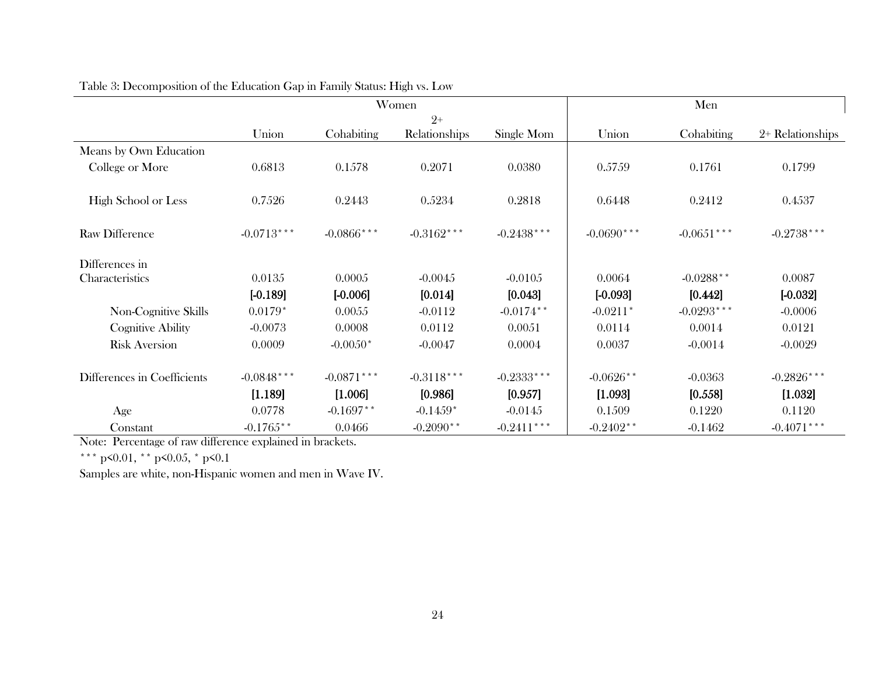|                             |              |               | Women         | Men          |              |              |                    |
|-----------------------------|--------------|---------------|---------------|--------------|--------------|--------------|--------------------|
|                             |              |               | $2+$          |              |              |              |                    |
|                             | Union        | Cohabiting    | Relationships | Single Mom   | Union        | Cohabiting   | $2+$ Relationships |
| Means by Own Education      |              |               |               |              |              |              |                    |
| College or More             | 0.6813       | 0.1578        | 0.2071        | 0.0380       | 0.5759       | 0.1761       | 0.1799             |
| High School or Less         | 0.7526       | 0.2443        | 0.5234        | 0.2818       | 0.6448       | 0.2412       | 0.4537             |
| <b>Raw Difference</b>       | $-0.0713***$ | $-0.0866$ *** | $-0.3162***$  | $-0.2438***$ | $-0.0690***$ | $-0.0651***$ | $-0.2738***$       |
| Differences in              |              |               |               |              |              |              |                    |
| Characteristics             | 0.0135       | 0.0005        | $-0.0045$     | $-0.0105$    | 0.0064       | $-0.0288**$  | 0.0087             |
|                             | $[-0.189]$   | $[-0.006]$    | [0.014]       | [0.043]      | $[-0.093]$   | [0.442]      | $[-0.032]$         |
| Non-Cognitive Skills        | $0.0179*$    | 0.0055        | $-0.0112$     | $-0.0174**$  | $-0.0211*$   | $-0.0293***$ | $-0.0006$          |
| <b>Cognitive Ability</b>    | $-0.0073$    | 0.0008        | 0.0112        | 0.0051       | 0.0114       | 0.0014       | 0.0121             |
| <b>Risk Aversion</b>        | 0.0009       | $-0.0050*$    | $-0.0047$     | 0.0004       | 0.0037       | $-0.0014$    | $-0.0029$          |
| Differences in Coefficients | $-0.0848***$ | $-0.0871$ *** | $-0.3118***$  | $-0.2333***$ | $-0.0626**$  | $-0.0363$    | $-0.2826$ ***      |
|                             | [1.189]      | [1.006]       | [0.986]       | [0.957]      | [1.093]      | [0.558]      | [1.032]            |
| Age                         | 0.0778       | $-0.1697**$   | $-0.1459*$    | $-0.0145$    | 0.1509       | 0.1220       | 0.1120             |
| Constant                    | $-0.1765**$  | 0.0466        | $-0.2090**$   | $-0.2411***$ | $-0.2402**$  | $-0.1462$    | $-0.4071$ ***      |

| Table 3: Decomposition of the Education Gap in Family Status: High vs. Low |  |  |
|----------------------------------------------------------------------------|--|--|
|                                                                            |  |  |

Note: Percentage of raw difference explained in brackets.

\*\*\* p<0.01, \*\* p<0.05, \* p<0.1

Samples are white, non-Hispanic women and men in Wave IV.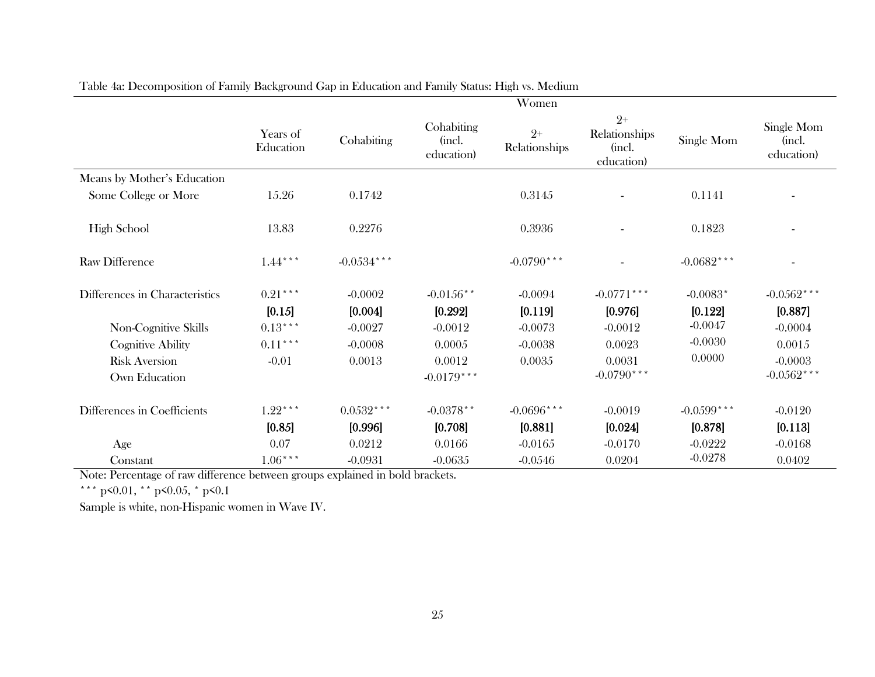|                                | Women                 |               |                                    |                       |                                               |              |                                    |
|--------------------------------|-----------------------|---------------|------------------------------------|-----------------------|-----------------------------------------------|--------------|------------------------------------|
|                                | Years of<br>Education | Cohabiting    | Cohabiting<br>(incl.<br>education) | $2+$<br>Relationships | $2+$<br>Relationships<br>(incl.<br>education) | Single Mom   | Single Mom<br>(incl.<br>education) |
| Means by Mother's Education    |                       |               |                                    |                       |                                               |              |                                    |
| Some College or More           | 15.26                 | 0.1742        |                                    | 0.3145                |                                               | 0.1141       |                                    |
| <b>High School</b>             | 13.83                 | 0.2276        |                                    | 0.3936                |                                               | 0.1823       |                                    |
| <b>Raw Difference</b>          | $1.44***$             | $-0.0534$ *** |                                    | $-0.0790***$          |                                               | $-0.0682***$ |                                    |
| Differences in Characteristics | $0.21***$             | $-0.0002$     | $-0.0156**$                        | $-0.0094$             | $-0.0771$ ***                                 | $-0.0083*$   | $-0.0562***$                       |
|                                | [0.15]                | [0.004]       | [0.292]                            | [0.119]               | [0.976]                                       | [0.122]      | [0.887]                            |
| Non-Cognitive Skills           | $0.13***$             | $-0.0027$     | $-0.0012$                          | $-0.0073$             | $-0.0012$                                     | $-0.0047$    | $-0.0004$                          |
| <b>Cognitive Ability</b>       | $0.11***$             | $-0.0008$     | 0.0005                             | $-0.0038$             | 0.0023                                        | $-0.0030$    | 0.0015                             |
| <b>Risk Aversion</b>           | $-0.01$               | 0.0013        | 0.0012                             | 0.0035                | 0.0031                                        | 0.0000       | $-0.0003$                          |
| Own Education                  |                       |               | $-0.0179***$                       |                       | $-0.0790***$                                  |              | $-0.0562***$                       |
| Differences in Coefficients    | $1.22***$             | $0.0532***$   | $-0.0378**$                        | $-0.0696***$          | $-0.0019$                                     | $-0.0599***$ | $-0.0120$                          |
|                                | [0.85]                | [0.996]       | [0.708]                            | [0.881]               | [0.024]                                       | [0.878]      | [0.113]                            |
| Age                            | 0.07                  | 0.0212        | 0.0166                             | $-0.0165$             | $-0.0170$                                     | $-0.0222$    | $-0.0168$                          |
| Constant                       | $1.06***$             | $-0.0931$     | $-0.0635$                          | $-0.0546$             | 0.0204                                        | $-0.0278$    | 0.0402                             |

Table 4a: Decomposition of Family Background Gap in Education and Family Status: High vs. Medium

Note: Percentage of raw difference between groups explained in bold brackets.

\*\*\* p<0.01, \*\* p<0.05, \* p<0.1

Sample is white, non-Hispanic women in Wave IV.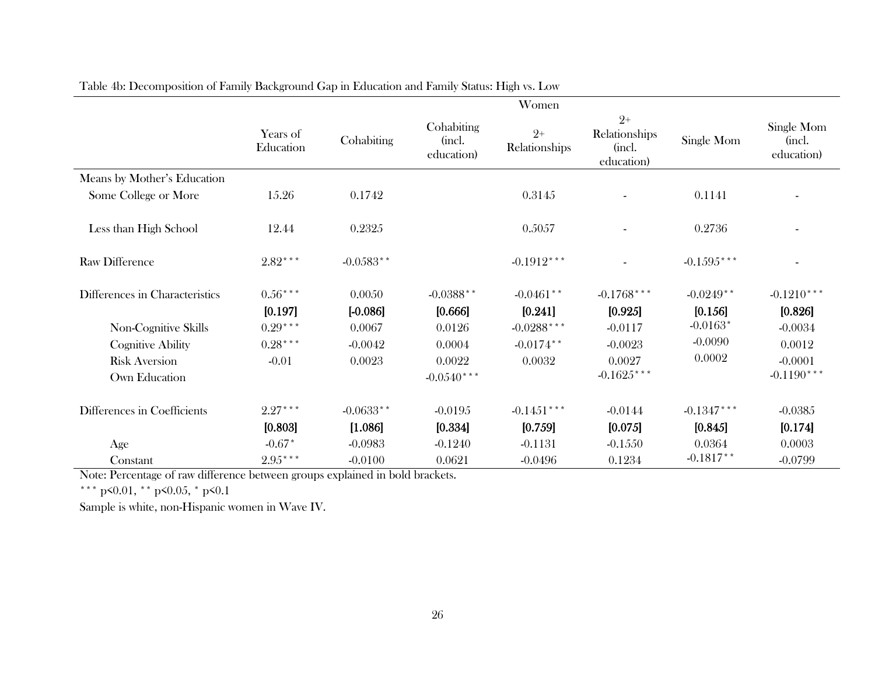|                                | Women                 |             |                                    |                       |                                               |              |                                    |
|--------------------------------|-----------------------|-------------|------------------------------------|-----------------------|-----------------------------------------------|--------------|------------------------------------|
|                                | Years of<br>Education | Cohabiting  | Cohabiting<br>(incl.<br>education) | $2+$<br>Relationships | $2+$<br>Relationships<br>(incl.<br>education) | Single Mom   | Single Mom<br>(incl.<br>education) |
| Means by Mother's Education    |                       |             |                                    |                       |                                               |              |                                    |
| Some College or More           | 15.26                 | 0.1742      |                                    | 0.3145                |                                               | 0.1141       |                                    |
| Less than High School          | 12.44                 | 0.2325      |                                    | 0.5057                |                                               | 0.2736       |                                    |
| <b>Raw Difference</b>          | $2.82***$             | $-0.0583**$ |                                    | $-0.1912***$          |                                               | $-0.1595***$ |                                    |
| Differences in Characteristics | $0.56***$             | 0.0050      | $-0.0388**$                        | $-0.0461**$           | $-0.1768$ ***                                 | $-0.0249**$  | $-0.1210***$                       |
|                                | [0.197]               | $[-0.086]$  | [0.666]                            | [0.241]               | [0.925]                                       | [0.156]      | [0.826]                            |
| Non-Cognitive Skills           | $0.29***$             | 0.0067      | 0.0126                             | $-0.0288$ ***         | $-0.0117$                                     | $-0.0163*$   | $-0.0034$                          |
| <b>Cognitive Ability</b>       | $0.28***$             | $-0.0042$   | 0.0004                             | $-0.0174**$           | $-0.0023$                                     | $-0.0090$    | 0.0012                             |
| <b>Risk Aversion</b>           | $-0.01$               | 0.0023      | 0.0022                             | 0.0032                | 0.0027                                        | 0.0002       | $-0.0001$                          |
| Own Education                  |                       |             | $-0.0540***$                       |                       | $-0.1625***$                                  |              | $-0.1190***$                       |
| Differences in Coefficients    | $2.27***$             | $-0.0633**$ | $-0.0195$                          | $-0.1451***$          | $-0.0144$                                     | $-0.1347***$ | $-0.0385$                          |
|                                | [0.803]               | [1.086]     | [0.334]                            | [0.759]               | [0.075]                                       | [0.845]      | [0.174]                            |
| Age                            | $-0.67*$              | $-0.0983$   | $-0.1240$                          | $-0.1131$             | $-0.1550$                                     | 0.0364       | 0.0003                             |
| Constant                       | $2.95***$             | $-0.0100$   | 0.0621                             | $-0.0496$             | 0.1234                                        | $-0.1817**$  | $-0.0799$                          |

Table 4b: Decomposition of Family Background Gap in Education and Family Status: High vs. Low

Note: Percentage of raw difference between groups explained in bold brackets.

\*\*\* p<0.01, \*\* p<0.05, \* p<0.1

Sample is white, non-Hispanic women in Wave IV.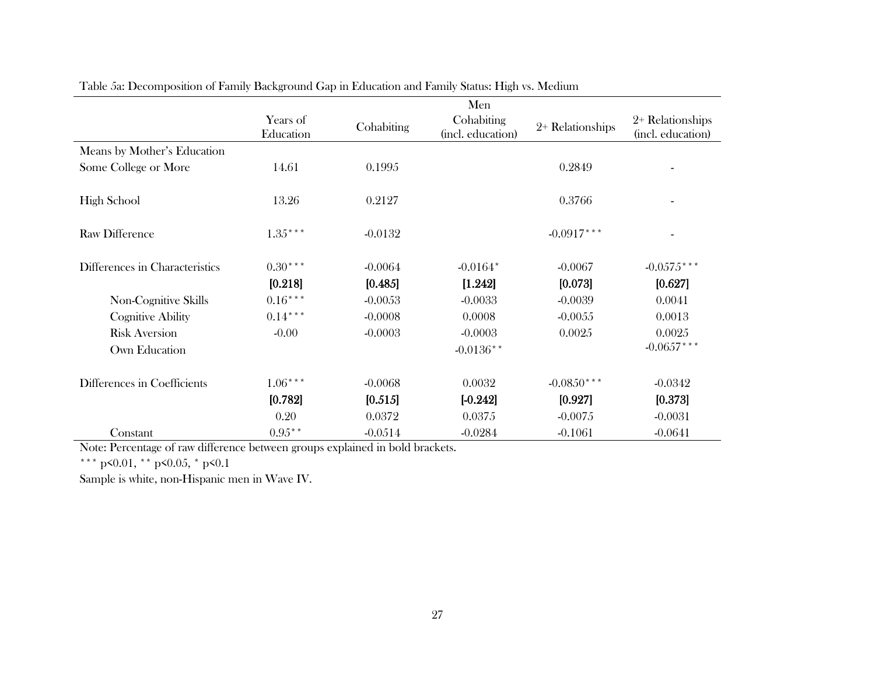|                                | Men                   |            |                                 |                    |                                       |  |
|--------------------------------|-----------------------|------------|---------------------------------|--------------------|---------------------------------------|--|
|                                | Years of<br>Education | Cohabiting | Cohabiting<br>(incl. education) | $2+$ Relationships | 2+ Relationships<br>(incl. education) |  |
| Means by Mother's Education    |                       |            |                                 |                    |                                       |  |
| Some College or More           | 14.61                 | 0.1995     |                                 | 0.2849             |                                       |  |
| <b>High School</b>             | 13.26                 | 0.2127     |                                 | 0.3766             | $\overline{\phantom{a}}$              |  |
| <b>Raw Difference</b>          | $1.35***$             | $-0.0132$  |                                 | $-0.0917***$       |                                       |  |
| Differences in Characteristics | $0.30***$             | $-0.0064$  | $-0.0164*$                      | $-0.0067$          | $-0.0575***$                          |  |
|                                | [0.218]               | [0.485]    | [1.242]                         | [0.073]            | [0.627]                               |  |
| Non-Cognitive Skills           | $0.16***$             | $-0.0053$  | $-0.0033$                       | $-0.0039$          | 0.0041                                |  |
| <b>Cognitive Ability</b>       | $0.14***$             | $-0.0008$  | 0.0008                          | $-0.0055$          | 0.0013                                |  |
| <b>Risk Aversion</b>           | $-0.00$               | $-0.0003$  | $-0.0003$                       | 0.0025             | 0.0025                                |  |
| Own Education                  |                       |            | $-0.0136**$                     |                    | $-0.0657***$                          |  |
| Differences in Coefficients    | $1.06***$             | $-0.0068$  | 0.0032                          | $-0.0850$ ***      | $-0.0342$                             |  |
|                                | [0.782]               | [0.515]    | $[-0.242]$                      | [0.927]            | [0.373]                               |  |
|                                | 0.20                  | 0.0372     | 0.0375                          | $-0.0075$          | $-0.0031$                             |  |
| Constant                       | $0.95**$              | $-0.0514$  | $-0.0284$                       | $-0.1061$          | $-0.0641$                             |  |

Table 5a: Decomposition of Family Background Gap in Education and Family Status: High vs. Medium

Note: Percentage of raw difference between groups explained in bold brackets.

\*\*\* p<0.01, \*\* p<0.05, \* p<0.1

Sample is white, non-Hispanic men in Wave IV.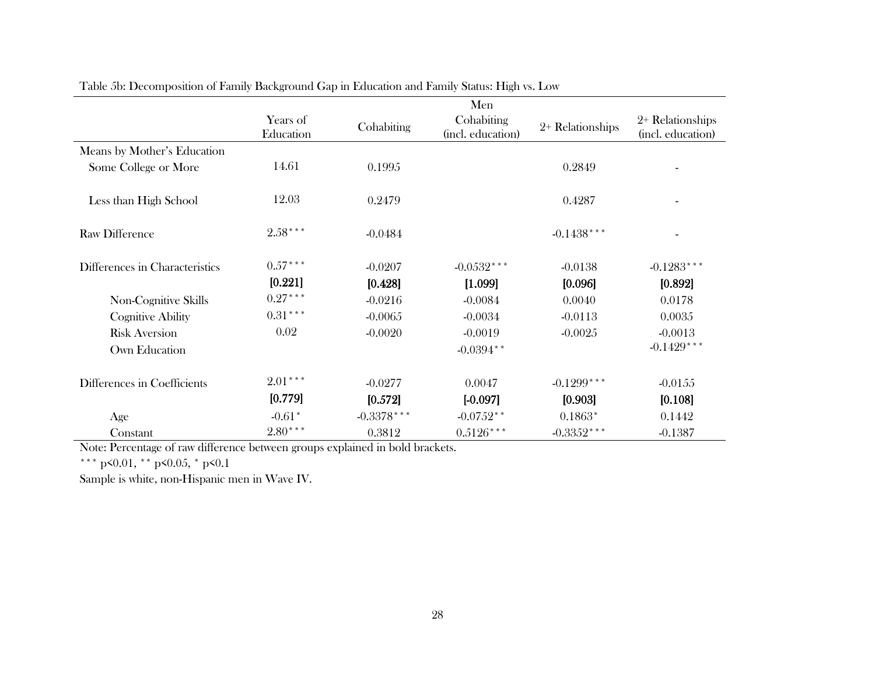|                                |                       |              | Men                             |                    |                                       |
|--------------------------------|-----------------------|--------------|---------------------------------|--------------------|---------------------------------------|
|                                | Years of<br>Education | Cohabiting   | Cohabiting<br>(incl. education) | $2+$ Relationships | 2+ Relationships<br>(incl. education) |
| Means by Mother's Education    |                       |              |                                 |                    |                                       |
| Some College or More           | 14.61                 | 0.1995       |                                 | 0.2849             |                                       |
| Less than High School          | 12.03                 | 0.2479       |                                 | 0.4287             | $\overline{\phantom{a}}$              |
| <b>Raw Difference</b>          | $2.58***$             | $-0.0484$    |                                 | $-0.1438***$       |                                       |
| Differences in Characteristics | $0.57***$             | $-0.0207$    | $-0.0532***$                    | $-0.0138$          | $-0.1283$ ***                         |
|                                | [0.221]               | [0.428]      | [1.099]                         | [0.096]            | [0.892]                               |
| Non-Cognitive Skills           | $0.27***$             | $-0.0216$    | $-0.0084$                       | 0.0040             | 0.0178                                |
| <b>Cognitive Ability</b>       | $0.31***$             | $-0.0065$    | $-0.0034$                       | $-0.0113$          | 0.0035                                |
| <b>Risk Aversion</b>           | 0.02                  | $-0.0020$    | $-0.0019$                       | $-0.0025$          | $-0.0013$                             |
| Own Education                  |                       |              | $-0.0394**$                     |                    | $-0.1429***$                          |
| Differences in Coefficients    | $2.01***$             | $-0.0277$    | 0.0047                          | $-0.1299$ ***      | $-0.0155$                             |
|                                | [0.779]               | [0.572]      | $[-0.097]$                      | [0.903]            | [0.108]                               |
| Age                            | $-0.61*$              | $-0.3378***$ | $-0.0752**$                     | $0.1863*$          | 0.1442                                |
| Constant                       | $2.80***$             | 0.3812       | $0.5126***$                     | $-0.3352***$       | $-0.1387$                             |

Table 5b: Decomposition of Family Background Gap in Education and Family Status: High vs. Low

Note: Percentage of raw difference between groups explained in bold brackets.

\*\*\* p<0.01, \*\* p<0.05, \* p<0.1

Sample is white, non-Hispanic men in Wave IV.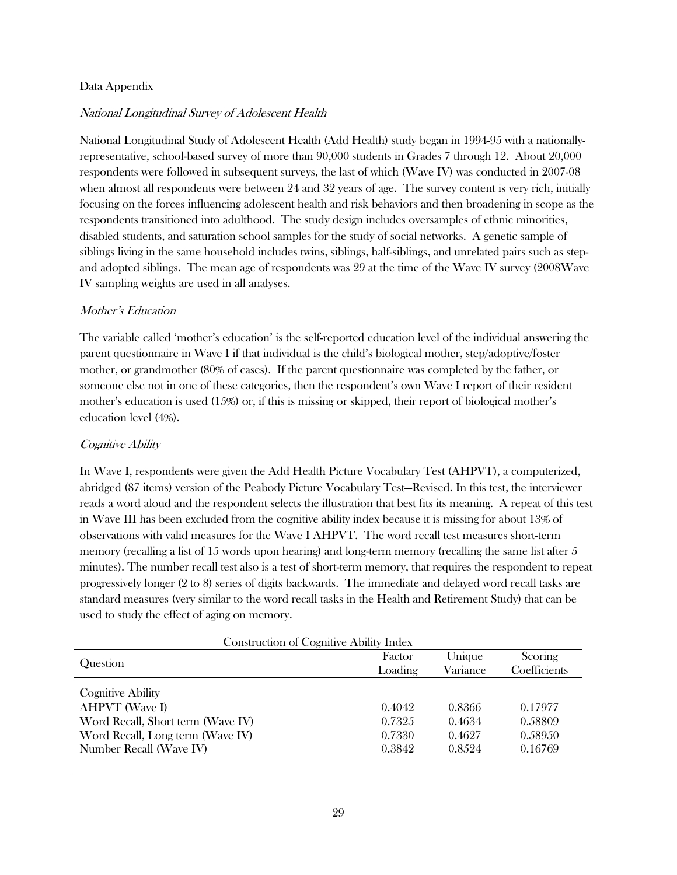#### Data Appendix

#### National Longitudinal Survey of Adolescent Health

National Longitudinal Study of Adolescent Health (Add Health) study began in 1994-95 with a nationallyrepresentative, school-based survey of more than 90,000 students in Grades 7 through 12. About 20,000 respondents were followed in subsequent surveys, the last of which (Wave IV) was conducted in 2007-08 when almost all respondents were between 24 and 32 years of age. The survey content is very rich, initially focusing on the forces influencing adolescent health and risk behaviors and then broadening in scope as the respondents transitioned into adulthood. The study design includes oversamples of ethnic minorities, disabled students, and saturation school samples for the study of social networks. A genetic sample of siblings living in the same household includes twins, siblings, half-siblings, and unrelated pairs such as stepand adopted siblings. The mean age of respondents was 29 at the time of the Wave IV survey (2008Wave IV sampling weights are used in all analyses.

#### Mother's Education

The variable called 'mother's education' is the self-reported education level of the individual answering the parent questionnaire in Wave I if that individual is the child's biological mother, step/adoptive/foster mother, or grandmother (80% of cases). If the parent questionnaire was completed by the father, or someone else not in one of these categories, then the respondent's own Wave I report of their resident mother's education is used (15%) or, if this is missing or skipped, their report of biological mother's education level (4%).

#### Cognitive Ability

In Wave I, respondents were given the Add Health Picture Vocabulary Test (AHPVT), a computerized, abridged (87 items) version of the Peabody Picture Vocabulary Test—Revised. In this test, the interviewer reads a word aloud and the respondent selects the illustration that best fits its meaning. A repeat of this test in Wave III has been excluded from the cognitive ability index because it is missing for about 13% of observations with valid measures for the Wave I AHPVT. The word recall test measures short-term memory (recalling a list of 15 words upon hearing) and long-term memory (recalling the same list after 5 minutes). The number recall test also is a test of short-term memory, that requires the respondent to repeat progressively longer (2 to 8) series of digits backwards. The immediate and delayed word recall tasks are standard measures (very similar to the word recall tasks in the Health and Retirement Study) that can be used to study the effect of aging on memory.

| <b>Construction of Cognitive Ability Index</b>                                                                                                 |                                      |                                      |                                          |
|------------------------------------------------------------------------------------------------------------------------------------------------|--------------------------------------|--------------------------------------|------------------------------------------|
| Question                                                                                                                                       | Factor                               | Unique                               | Scoring                                  |
|                                                                                                                                                | Loading                              | Variance                             | Coefficients                             |
| Cognitive Ability<br><b>AHPVT</b> (Wave I)<br>Word Recall, Short term (Wave IV)<br>Word Recall, Long term (Wave IV)<br>Number Recall (Wave IV) | 0.4042<br>0.7325<br>0.7330<br>0.3842 | 0.8366<br>0.4634<br>0.4627<br>0.8524 | 0.17977<br>0.58809<br>0.58950<br>0.16769 |
|                                                                                                                                                |                                      |                                      |                                          |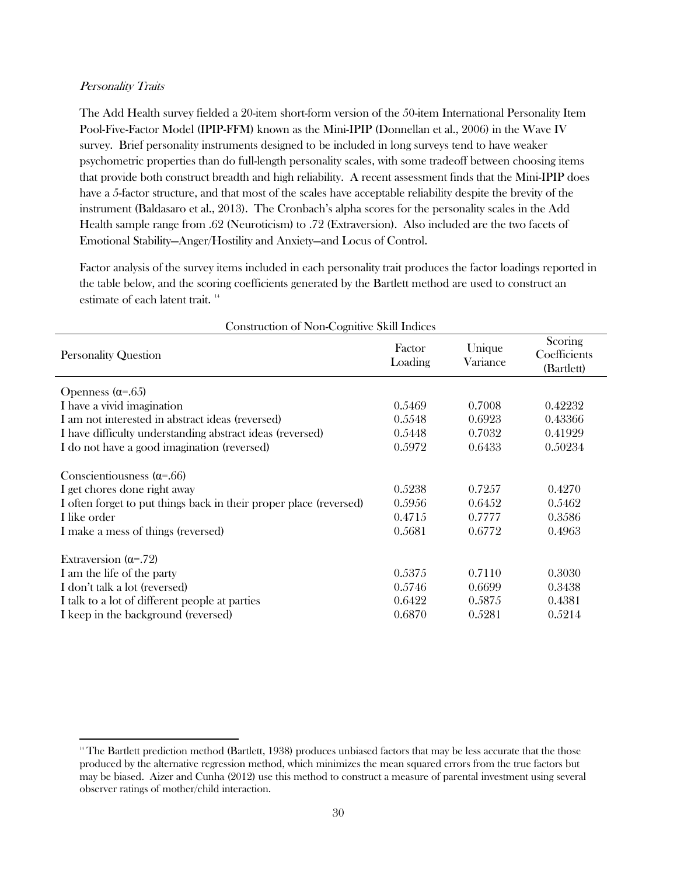#### Personality Traits

l

The Add Health survey fielded a 20-item short-form version of the 50-item International Personality Item Pool-Five-Factor Model (IPIP-FFM) known as the Mini-IPIP (Donnellan et al., 2006) in the Wave IV survey. Brief personality instruments designed to be included in long surveys tend to have weaker psychometric properties than do full-length personality scales, with some tradeoff between choosing items that provide both construct breadth and high reliability. A recent assessment finds that the Mini-IPIP does have a 5-factor structure, and that most of the scales have acceptable reliability despite the brevity of the instrument (Baldasaro et al., 2013). The Cronbach's alpha scores for the personality scales in the Add Health sample range from .62 (Neuroticism) to .72 (Extraversion). Also included are the two facets of Emotional Stability—Anger/Hostility and Anxiety—and Locus of Control.

Factor analysis of the survey items included in each personality trait produces the factor loadings reported in the table below, and the scoring coefficients generated by the Bartlett method are used to construct an estimate of each latent trait.<sup>[14](#page-19-0)</sup>

| Construction of Non-Cognitive Skill Indices                        |                   |                    |                                       |  |  |  |
|--------------------------------------------------------------------|-------------------|--------------------|---------------------------------------|--|--|--|
| <b>Personality Question</b>                                        | Factor<br>Loading | Unique<br>Variance | Scoring<br>Coefficients<br>(Bartlett) |  |  |  |
| Openness $(\alpha = .65)$                                          |                   |                    |                                       |  |  |  |
| I have a vivid imagination                                         | 0.5469            | 0.7008             | 0.42232                               |  |  |  |
| I am not interested in abstract ideas (reversed)                   | 0.5548            | 0.6923             | 0.43366                               |  |  |  |
| I have difficulty understanding abstract ideas (reversed)          | 0.5448            | 0.7032             | 0.41929                               |  |  |  |
| I do not have a good imagination (reversed)                        | 0.5972            | 0.6433             | 0.50234                               |  |  |  |
| Conscientiousness $(\alpha = .66)$                                 |                   |                    |                                       |  |  |  |
| I get chores done right away                                       | 0.5238            | 0.7257             | 0.4270                                |  |  |  |
| I often forget to put things back in their proper place (reversed) | 0.5956            | 0.6452             | 0.5462                                |  |  |  |
| I like order                                                       | 0.4715            | 0.7777             | 0.3586                                |  |  |  |
| I make a mess of things (reversed)                                 | 0.5681            | 0.6772             | 0.4963                                |  |  |  |
| Extraversion $(\alpha = .72)$                                      |                   |                    |                                       |  |  |  |
| I am the life of the party                                         | 0.5375            | 0.7110             | 0.3030                                |  |  |  |
| I don't talk a lot (reversed)                                      | 0.5746            | 0.6699             | 0.3438                                |  |  |  |
| I talk to a lot of different people at parties                     | 0.6422            | 0.5875             | 0.4381                                |  |  |  |
| I keep in the background (reversed)                                | 0.6870            | 0.5281             | 0.5214                                |  |  |  |

Construction of Non-Cognitive Skill Indices

<sup>&</sup>lt;sup>14</sup> The Bartlett prediction method (Bartlett, 1938) produces unbiased factors that may be less accurate that the those produced by the alternative regression method, which minimizes the mean squared errors from the true factors but may be biased. Aizer and Cunha (2012) use this method to construct a measure of parental investment using several observer ratings of mother/child interaction.